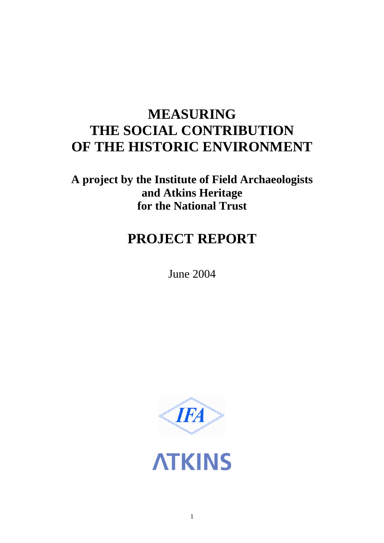# **MEASURING THE SOCIAL CONTRIBUTION OF THE HISTORIC ENVIRONMENT**

**A project by the Institute of Field Archaeologists and Atkins Heritage for the National Trust**

# **PROJECT REPORT**

June 2004



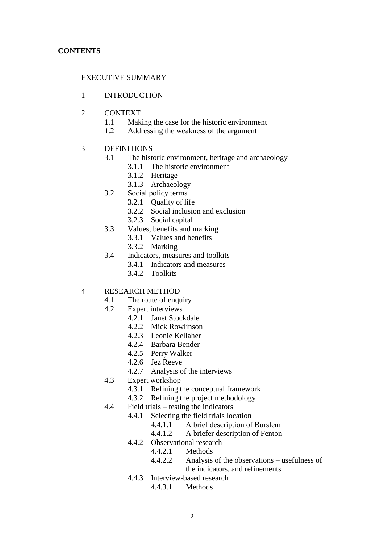# EXECUTIVE SUMMARY

### 1 INTRODUCTION

- 2 CONTEXT
	- 1.1 Making the case for the historic environment
	- 1.2 Addressing the weakness of the argument
- 3 DEFINITIONS
	- 3.1 The historic environment, heritage and archaeology
		- 3.1.1 The historic environment
			- 3.1.2 Heritage
			- 3.1.3 Archaeology
	- 3.2 Social policy terms
		- 3.2.1 Quality of life
			- 3.2.2 Social inclusion and exclusion
			- 3.2.3 Social capital
	- 3.3 Values, benefits and marking
		- 3.3.1 Values and benefits
		- 3.3.2 Marking
	- 3.4 Indicators, measures and toolkits
		- 3.4.1 Indicators and measures
		- 3.4.2 Toolkits

# 4 RESEARCH METHOD

- 4.1 The route of enquiry
- 4.2 Expert interviews
	- 4.2.1 Janet Stockdale
		- 4.2.2 Mick Rowlinson
		- 4.2.3 Leonie Kellaher
		- 4.2.4 Barbara Bender
		- 4.2.5 Perry Walker
		- 4.2.6 Jez Reeve
		- 4.2.7 Analysis of the interviews
- 4.3 Expert workshop
	- 4.3.1 Refining the conceptual framework
	- 4.3.2 Refining the project methodology
- $4.4$  Field trials testing the indicators
	- 4.4.1 Selecting the field trials location
		- 4.4.1.1 A brief description of Burslem
		- 4.4.1.2 A briefer description of Fenton
	- 4.4.2 Observational research
		- 4.4.2.1 Methods
		- 4.4.2.2 Analysis of the observations usefulness of the indicators, and refinements
	- 4.4.3 Interview-based research
		- 4.4.3.1 Methods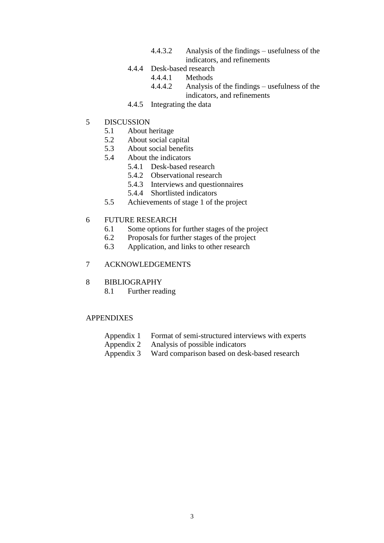- 4.4.3.2 Analysis of the findings –usefulness of the indicators, and refinements
- 4.4.4 Desk-based research
	- 4.4.4.1 Methods
	- 4.4.4.2 Analysis of the findings –usefulness of the indicators, and refinements
- 4.4.5 Integrating the data
- 5 DISCUSSION
	- 5.1 About heritage
	- 5.2 About social capital
	- 5.3 About social benefits
	- 5.4 About the indicators
		- 5.4.1 Desk-based research
		- 5.4.2 Observational research
		- 5.4.3 Interviews and questionnaires
		- 5.4.4 Shortlisted indicators
	- 5.5 Achievements of stage 1 of the project

#### 6 FUTURE RESEARCH

- 6.1 Some options for further stages of the project
- 6.2 Proposals for further stages of the project
- 6.3 Application, and links to other research

## 7 ACKNOWLEDGEMENTS

- 8 BIBLIOGRAPHY
	- 8.1 Further reading

### APPENDIXES

- Appendix 1 Format of semi-structured interviews with experts
- Appendix 2 Analysis of possible indicators
- Appendix 3 Ward comparison based on desk-based research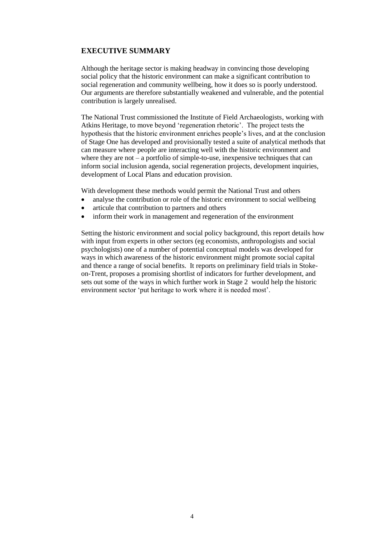## **EXECUTIVE SUMMARY**

Although the heritage sector is making headway in convincing those developing social policy that the historic environment can make a significant contribution to social regeneration and community wellbeing, how it does so is poorly understood. Our arguments are therefore substantially weakened and vulnerable, and the potential contribution is largely unrealised.

The National Trust commissioned the Institute of Field Archaeologists, working with Atkins Heritage, to move beyond 'regeneration rhetoric'. The project tests the hypothesis that the historic environment enriches people's lives, and at the conclusion of Stage One has developed and provisionally tested a suite of analytical methods that can measure where people are interacting well with the historic environment and where they are not – a portfolio of simple-to-use, inexpensive techniques that can inform social inclusion agenda, social regeneration projects, development inquiries, development of Local Plans and education provision.

With development these methods would permit the National Trust and others

- analyse the contribution or role of the historic environment to social wellbeing
- articule that contribution to partners and others
- inform their work in management and regeneration of the environment

Setting the historic environment and social policy background, this report details how with input from experts in other sectors (eg economists, anthropologists and social psychologists) one of a number of potential conceptual models was developed for ways in which awareness of the historic environment might promote social capital and thence a range of social benefits. It reports on preliminary field trials in Stokeon-Trent, proposes a promising shortlist of indicators for further development, and sets out some of the ways in which further work in Stage 2 would help the historic environment sector 'put heritage to work where it is needed most'.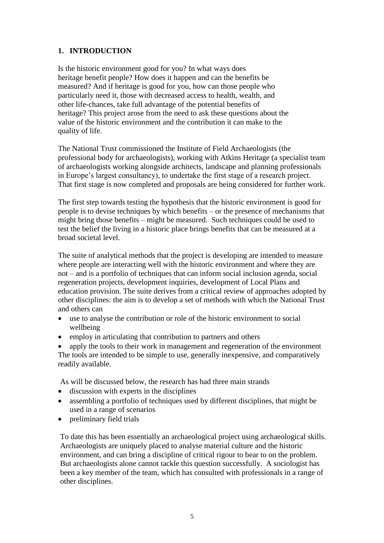# **1. INTRODUCTION**

Is the historic environment good for you? In what ways does heritage benefit people? How does it happen and can the benefits be measured? And if heritage is good for you, how can those people who particularly need it, those with decreased access to health, wealth, and other life-chances, take full advantage of the potential benefits of heritage? This project arose from the need to ask these questions about the value of the historic environment and the contribution it can make to the quality of life.

The National Trust commissioned the Institute of Field Archaeologists (the professional body for archaeologists), working with Atkins Heritage (a specialist team of archaeologists working alongside architects, landscape and planning professionals in Europe's largest consultancy), to undertake the first stage of a research project. That first stage is now completed and proposals are being considered for further work.

The first step towards testing the hypothesis that the historic environment is good for people is to devise techniques by which benefits –or the presence of mechanisms that might bring those benefits – might be measured. Such techniques could be used to test the belief the living in a historic place brings benefits that can be measured at a broad societal level.

The suite of analytical methods that the project is developing are intended to measure where people are interacting well with the historic environment and where they are not –and is a portfolio of techniques that can inform social inclusion agenda, social regeneration projects, development inquiries, development of Local Plans and education provision. The suite derives from a critical review of approaches adopted by other disciplines: the aim is to develop a set of methods with which the National Trust and others can

- use to analyse the contribution or role of the historic environment to social wellbeing
- employ in articulating that contribution to partners and others

 apply the tools to their work in management and regeneration of the environment The tools are intended to be simple to use, generally inexpensive, and comparatively readily available.

As will be discussed below, the research has had three main strands

- discussion with experts in the disciplines
- assembling a portfolio of techniques used by different disciplines, that might be used in a range of scenarios
- preliminary field trials

To date this has been essentially an archaeological project using archaeological skills. Archaeologists are uniquely placed to analyse material culture and the historic environment, and can bring a discipline of critical rigour to bear to on the problem. But archaeologists alone cannot tackle this question successfully. A sociologist has been a key member of the team, which has consulted with professionals in a range of other disciplines.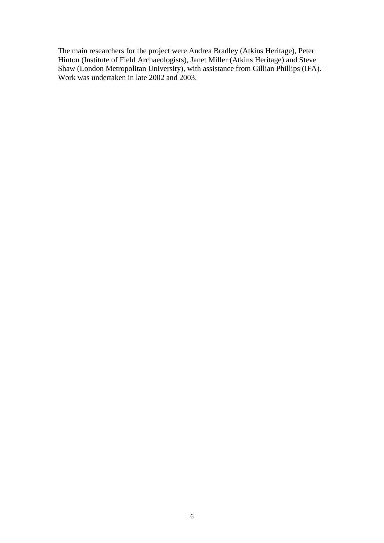The main researchers for the project were Andrea Bradley (Atkins Heritage), Peter Hinton (Institute of Field Archaeologists), Janet Miller (Atkins Heritage) and Steve Shaw (London Metropolitan University), with assistance from Gillian Phillips (IFA). Work was undertaken in late 2002 and 2003.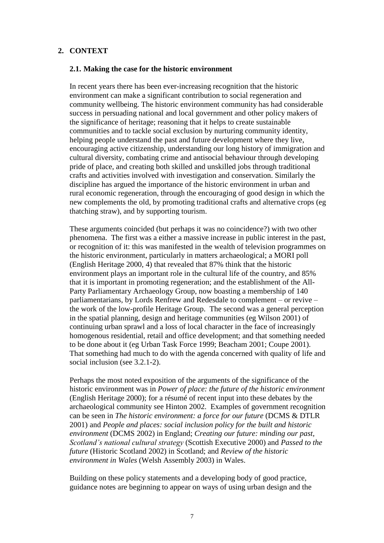## **2. CONTEXT**

#### **2.1. Making the case for the historic environment**

In recent years there has been ever-increasing recognition that the historic environment can make a significant contribution to social regeneration and community wellbeing. The historic environment community has had considerable success in persuading national and local government and other policy makers of the significance of heritage; reasoning that it helps to create sustainable communities and to tackle social exclusion by nurturing community identity, helping people understand the past and future development where they live, encouraging active citizenship, understanding our long history of immigration and cultural diversity, combating crime and antisocial behaviour through developing pride of place, and creating both skilled and unskilled jobs through traditional crafts and activities involved with investigation and conservation. Similarly the discipline has argued the importance of the historic environment in urban and rural economic regeneration, through the encouraging of good design in which the new complements the old, by promoting traditional crafts and alternative crops (eg thatching straw), and by supporting tourism.

These arguments coincided (but perhaps it was no coincidence?) with two other phenomena. The first was a either a massive increase in public interest in the past, or recognition of it: this was manifested in the wealth of television programmes on the historic environment, particularly in matters archaeological; a MORI poll (English Heritage 2000, 4) that revealed that 87% think that the historic environment plays an important role in the cultural life of the country, and 85% that it is important in promoting regeneration; and the establishment of the All-Party Parliamentary Archaeology Group, now boasting a membership of 140 parliamentarians, by Lords Renfrew and Redesdale to complement – or revive – the work of the low-profile Heritage Group. The second was a general perception in the spatial planning, design and heritage communities (eg Wilson 2001) of continuing urban sprawl and a loss of local character in the face of increasingly homogenous residential, retail and office development; and that something needed to be done about it (eg Urban Task Force 1999; Beacham 2001; Coupe 2001). That something had much to do with the agenda concerned with quality of life and social inclusion (see 3.2.1-2).

Perhaps the most noted exposition of the arguments of the significance of the historic environment was in *Power of place: the future of the historic environment* (English Heritage 2000); for a résumé of recent input into these debates by the archaeological community see Hinton 2002. Examples of government recognition can be seen in *The historic environment: a force for our future* (DCMS & DTLR 2001) and *People and places: social inclusion policy for the built and historic environment* (DCMS 2002) in England; *Creating our future: minding our past, Scotland's national cultural strategy (Scottish Executive 2000) and Passed to the future* (Historic Scotland 2002) in Scotland; and *Review of the historic environment in Wales* (Welsh Assembly 2003) in Wales.

Building on these policy statements and a developing body of good practice, guidance notes are beginning to appear on ways of using urban design and the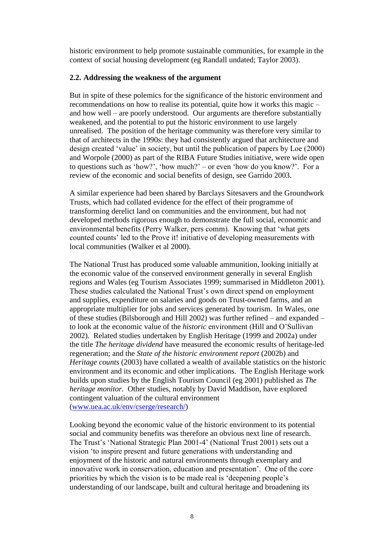historic environment to help promote sustainable communities, for example in the context of social housing development (eg Randall undated; Taylor 2003).

#### **2.2. Addressing the weakness of the argument**

But in spite of these polemics for the significance of the historic environment and recommendations on how to realise its potential, quite how it works this magic – and how well –are poorly understood. Our arguments are therefore substantially weakened, and the potential to put the historic environment to use largely unrealised. The position of the heritage community was therefore very similar to that of architects in the 1990s: they had consistently argued that architecture and design created 'value' in society, but until the publication of papers by Loe (2000) and Worpole (2000) as part of the RIBA Future Studies initiative, were wide open to questions such as 'how?', 'how much?' – or even 'how do you know?'. For a review of the economic and social benefits of design, see Garrido 2003.

A similar experience had been shared by Barclays Sitesavers and the Groundwork Trusts, which had collated evidence for the effect of their programme of transforming derelict land on communities and the environment, but had not developed methods rigorous enough to demonstrate the full social, economic and environmental benefits (Perry Walker, pers comm). Knowing that 'what gets counted counts' led to the Prove it! initiative of developing measurements with local communities (Walker et al 2000).

The National Trust has produced some valuable ammunition, looking initially at the economic value of the conserved environment generally in several English regions and Wales (eg Tourism Associates 1999; summarised in Middleton 2001). These studies calculated the National Trust's own direct spend on employment and supplies, expenditure on salaries and goods on Trust-owned farms, and an appropriate multiplier for jobs and services generated by tourism. In Wales, one of these studies (Bilsborough and Hill 2002) was further refined – and expanded – to look at the economic value of the *historic* environment (Hill and O'Sullivan 2002). Related studies undertaken by English Heritage (1999 and 2002a) under the title *The heritage dividend* have measured the economic results of heritage-led regeneration; and the *State of the historic environment report* (2002b) and *Heritage counts* (2003) have collated a wealth of available statistics on the historic environment and its economic and other implications. The English Heritage work builds upon studies by the English Tourism Council (eg 2001) published as *The heritage monitor.* Other studies, notably by David Maddison, have explored contingent valuation of the cultural environment (www.uea.ac.uk/env/cserge/research/)

Looking beyond the economic value of the historic environment to its potential social and community benefits was therefore an obvious next line of research. The Trust's 'National Strategic Plan 2001-4' (National Trust 2001) sets out a vision 'to inspire present and future generations with understanding and enjoyment of the historic and natural environments through exemplary and innovative work in conservation, education and presentation'. One of the core priorities by which the vision is to be made real is 'deepening people's understanding of our landscape, built and cultural heritage and broadening its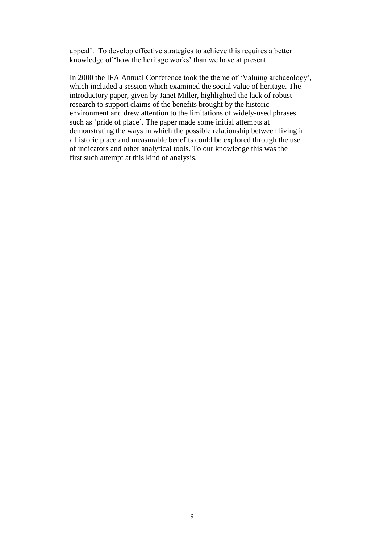appeal'. To develop effective strategies to achieve this requires a better knowledge of 'how the heritage works' than we have at present.

In 2000 the IFA Annual Conference took the theme of 'Valuing archaeology', which included a session which examined the social value of heritage. The introductory paper, given by Janet Miller, highlighted the lack of robust research to support claims of the benefits brought by the historic environment and drew attention to the limitations of widely-used phrases such as 'pride of place'. The paper made some initial attempts at demonstrating the ways in which the possible relationship between living in a historic place and measurable benefits could be explored through the use of indicators and other analytical tools. To our knowledge this was the first such attempt at this kind of analysis.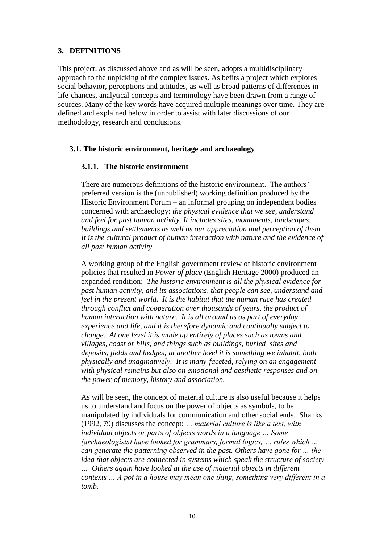#### **3. DEFINITIONS**

This project, as discussed above and as will be seen, adopts a multidisciplinary approach to the unpicking of the complex issues. As befits a project which explores social behavior, perceptions and attitudes, as well as broad patterns of differences in life-chances, analytical concepts and terminology have been drawn from a range of sources. Many of the key words have acquired multiple meanings over time. They are defined and explained below in order to assist with later discussions of our methodology, research and conclusions.

#### **3.1. The historic environment, heritage and archaeology**

#### **3.1.1. The historic environment**

There are numerous definitions of the historic environment. The authors' preferred version is the (unpublished) working definition produced by the Historic Environment Forum – an informal grouping on independent bodies concerned with archaeology: *the physical evidence that we see, understand and feel for past human activity. It includes sites, monuments, landscapes, buildings and settlements as well as our appreciation and perception of them. It is the cultural product of human interaction with nature and the evidence of all past human activity*

A working group of the English government review of historic environment policies that resulted in *Power of place* (English Heritage 2000) produced an expanded rendition: *The historic environment is all the physical evidence for past human activity, and its associations, that people can see, understand and feel in the present world. It is the habitat that the human race has created through conflict and cooperation over thousands of years, the product of human interaction with nature. It is all around us as part of everyday experience and life, and it is therefore dynamic and continually subject to change. At one level it is made up entirely of places such as towns and villages, coast or hills, and things such as buildings, buried sites and deposits, fields and hedges; at another level it is something we inhabit, both physically and imaginatively. It is many-faceted, relying on an engagement with physical remains but also on emotional and aesthetic responses and on the power of memory, history and association.*

As will be seen, the concept of material culture is also useful because it helps us to understand and focus on the power of objects as symbols, to be manipulated by individuals for communication and other social ends. Shanks (1992, 79) discusses the concept: ... material culture is like a text, with *individual objects or parts of objects words in a language …Some (archaeologists) have looked for grammars, formal logics, ... rules which ... can generate the patterning observed in the past. Others have gone for …the idea that objects are connected in systems which speak the structure of society … Others again have looked at the use of material objects in different contexts …Apotinahousemaymeanonething,somethingverydiferentina tomb.*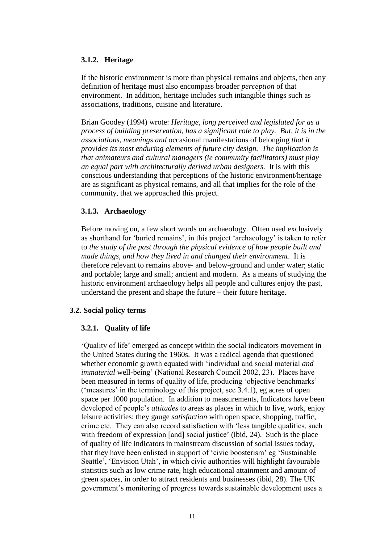#### **3.1.2. Heritage**

If the historic environment is more than physical remains and objects, then any definition of heritage must also encompass broader *perception* of that environment. In addition, heritage includes such intangible things such as associations, traditions, cuisine and literature.

Brian Goodey (1994) wrote: *Heritage, long perceived and legislated for as a process of building preservation, has a significant role to play. But, it is in the associations, meanings and* occasional manifestations of belonging *that it provides its most enduring elements of future city design. The implication is that animateurs and cultural managers (ie community facilitators) must play an equal part with architecturally derived urban designers.* It is with this conscious understanding that perceptions of the historic environment/heritage are as significant as physical remains, and all that implies for the role of the community, that we approached this project.

#### **3.1.3. Archaeology**

Before moving on, a few short words on archaeology. Often used exclusively as shorthand for 'buried remains', in this project 'archaeology' is taken to refer to *the study of the past through the physical evidence of how people built and made things, and how they lived in and changed their environment*. It is therefore relevant to remains above- and below-ground and under water; static and portable; large and small; ancient and modern. As a means of studying the historic environment archaeology helps all people and cultures enjoy the past, understand the present and shape the future – their future heritage.

#### **3.2. Social policy terms**

# **3.2.1. Quality of life**

'Qualityoflife'emerged as concept within the social indicators movement in the United States during the 1960s. It was a radical agenda that questioned whether economic growth equated with 'individual and social material *and immaterial* well-being' (National Research Council 2002, 23). Places have been measured in terms of quality of life, producing 'objective benchmarks' ('measures' in the terminology of this project, see  $3.4.1$ ), eg acres of open space per 1000 population. In addition to measurements, Indicators have been developed of people's *attitudes* to areas as places in which to live, work, enjoy leisure activities: they gauge *satisfaction* with open space, shopping, traffic, crime etc. They can also record satisfaction with 'less tangible qualities, such with freedom of expression [and] social justice' (ibid, 24). Such is the place of quality of life indicators in mainstream discussion of social issues today, that they have been enlisted in support of 'civic boosterism' eg 'Sustainable' Seattle', 'Envision Utah', in which civic authorities will highlight favourable statistics such as low crime rate, high educational attainment and amount of green spaces, in order to attract residents and businesses (ibid, 28). The UK government's monitoring of progress towards sustainable development uses a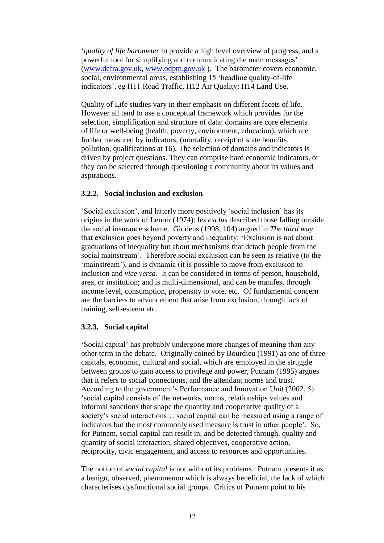'*quality of life barometer* to provide a high level overview of progress, and a powerful tool for simplifying and communicating the main messages' (www.defra.gov.uk, www.odpm.gov.uk ). The barometer covers economic, social, environmental areas, establishing 15 'headline quality-of-life indicators', eg H11 Road Traffic, H12 Air Quality; H14 Land Use.

Quality of Life studies vary in their emphasis on different facets of life. However all tend to use a conceptual framework which provides for the selection, simplification and structure of data: domains are core elements of life or well-being (health, poverty, environment, education), which are further measured by indicators, (mortality, receipt of state benefits, pollution, qualifications at 16). The selection of domains and indicators is driven by project questions. They can comprise hard economic indicators, or they can be selected through questioning a community about its values and aspirations.

## **3.2.2. Social inclusion and exclusion**

'Social exclusion', and latterly more positively 'social inclusion' has its origins in the work of Lenoir (1974): l*es exclus* described those falling outside the social insurance scheme. Giddens (1998, 104) argued in *The third way* that exclusion goes beyond poverty and inequality: 'Exclusion is not about graduations of inequality but about mechanisms that detach people from the social mainstream'. Therefore social exclusion can be seen as relative (to the 'mainstream'), and is dynamic (it is possible to move from exclusion to inclusion and *vice versa*. It can be considered in terms of person, household, area, or institution; and is multi-dimensional, and can be manifest through income level, consumption, propensity to vote, etc. Of fundamental concern are the barriers to advancement that arise from exclusion, through lack of training, self-esteem etc.

# **3.2.3. Social capital**

**'**Social capital' has probably undergone more changes of meaning than any other term in the debate. Originally coined by Bourdieu (1991) as one of three capitals, economic, cultural and social, which are employed in the struggle between groups to gain access to privilege and power, Putnam (1995) argues that it refers to social connections, and the attendant norms and trust. According to the government's Performance and Innovation Unit  $(2002, 5)$ 'social capital consists of the networks, norms, relationships values and informal sanctions that shape the quantity and cooperative quality of a society's social interactions... social capital can be measured using a range of indicators but the most commonly used measure is trust in other people'. So, for Putnam, social capital can result in, and be detected through, quality and quantity of social interaction, shared objectives, cooperative action, reciprocity, civic engagement, and access to resources and opportunities.

The notion of *social capital* is not without its problems. Putnam presents it as a benign, observed, phenomenon which is always beneficial, the lack of which characterises dysfunctional social groups. Critics of Putnam point to his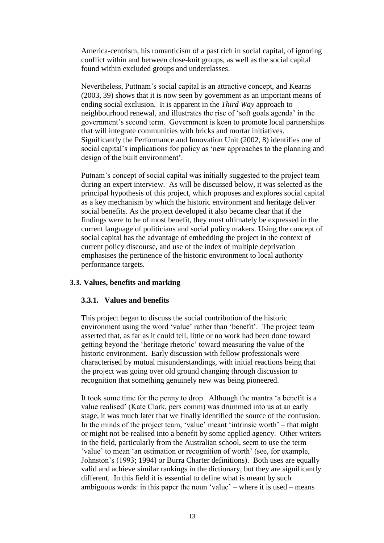America-centrism, his romanticism of a past rich in social capital, of ignoring conflict within and between close-knit groups, as well as the social capital found within excluded groups and underclasses.

Nevertheless, Puttnam's social capital is an attractive concept, and Kearns (2003, 39) shows that it is now seen by government as an important means of ending social exclusion. It is apparent in the *Third Way* approach to neighbourhood renewal, and illustrates the rise of 'soft goals agenda' in the government's second term. Government is keen to promote local partnerships that will integrate communities with bricks and mortar initiatives. Significantly the Performance and Innovation Unit (2002, 8) identifies one of social capital's implications for policy as 'new approaches to the planning and design of the built environment'.

Putnam's concept of social capital was initially suggested to the project team during an expert interview. As will be discussed below, it was selected as the principal hypothesis of this project, which proposes and explores social capital as a key mechanism by which the historic environment and heritage deliver social benefits. As the project developed it also became clear that if the findings were to be of most benefit, they must ultimately be expressed in the current language of politicians and social policy makers. Using the concept of social capital has the advantage of embedding the project in the context of current policy discourse, and use of the index of multiple deprivation emphasises the pertinence of the historic environment to local authority performance targets.

#### **3.3. Values, benefits and marking**

#### **3.3.1. Values and benefits**

This project began to discuss the social contribution of the historic environment using the word 'value' rather than 'benefit'. The project team asserted that, as far as it could tell, little or no work had been done toward getting beyond the 'heritage rhetoric' toward measuring the value of the historic environment. Early discussion with fellow professionals were characterised by mutual misunderstandings, with initial reactions being that the project was going over old ground changing through discussion to recognition that something genuinely new was being pioneered.

It took some time for the penny to drop. Although the mantra 'a benefit is a value realised' (Kate Clark, pers comm) was drummed into us at an early stage, it was much later that we finally identified the source of the confusion. In the minds of the project team, 'value' meant 'intrinsic worth' – that might or might not be realised into a benefit by some applied agency. Other writers in the field, particularly from the Australian school, seem to use the term 'value' to mean 'an estimation or recognition of worth' (see, for example, Johnston's(1993;1994) or Burra Charter definitions). Both uses are equally valid and achieve similar rankings in the dictionary, but they are significantly different. In this field it is essential to define what is meant by such ambiguous words: in this paper the noun 'value' – where it is used – means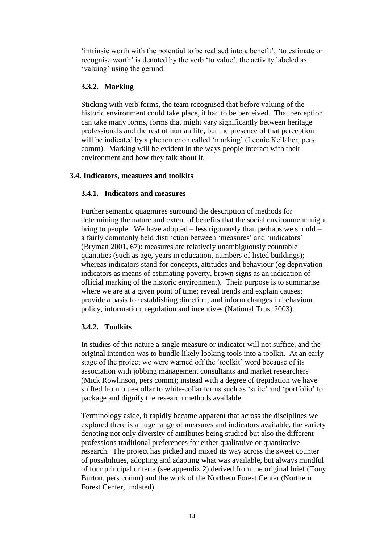'intrinsic worth with the potential to be realised into a benefit'; 'to estimate or recognise worth' is denoted by the verb 'to value', the activity labeled as 'valuing' using the gerund.

## **3.3.2. Marking**

Sticking with verb forms, the team recognised that before valuing of the historic environment could take place, it had to be perceived. That perception can take many forms, forms that might vary significantly between heritage professionals and the rest of human life, but the presence of that perception will be indicated by a phenomenon called 'marking' (Leonie Kellaher, pers) comm). Marking will be evident in the ways people interact with their environment and how they talk about it.

## **3.4. Indicators, measures and toolkits**

## **3.4.1. Indicators and measures**

Further semantic quagmires surround the description of methods for determining the nature and extent of benefits that the social environment might bring to people. We have adopted  $-$  less rigorously than perhaps we should  $$ a fairly commonly held distinction between 'measures' and 'indicators' (Bryman 2001, 67): measures are relatively unambiguously countable quantities (such as age, years in education, numbers of listed buildings); whereas indicators stand for concepts, attitudes and behaviour (eg deprivation indicators as means of estimating poverty, brown signs as an indication of official marking of the historic environment). Their purpose is to summarise where we are at a given point of time; reveal trends and explain causes; provide a basis for establishing direction; and inform changes in behaviour, policy, information, regulation and incentives (National Trust 2003).

# **3.4.2. Toolkits**

In studies of this nature a single measure or indicator will not suffice, and the original intention was to bundle likely looking tools into a toolkit. At an early stage of the project we were warned off the 'toolkit' word because of its association with jobbing management consultants and market researchers (Mick Rowlinson, pers comm); instead with a degree of trepidation we have shifted from blue-collar to white-collar terms such as 'suite' and 'portfolio' to package and dignify the research methods available.

Terminology aside, it rapidly became apparent that across the disciplines we explored there is a huge range of measures and indicators available, the variety denoting not only diversity of attributes being studied but also the different professions traditional preferences for either qualitative or quantitative research. The project has picked and mixed its way across the sweet counter of possibilities, adopting and adapting what was available, but always mindful of four principal criteria (see appendix 2) derived from the original brief (Tony Burton, pers comm) and the work of the Northern Forest Center (Northern Forest Center, undated)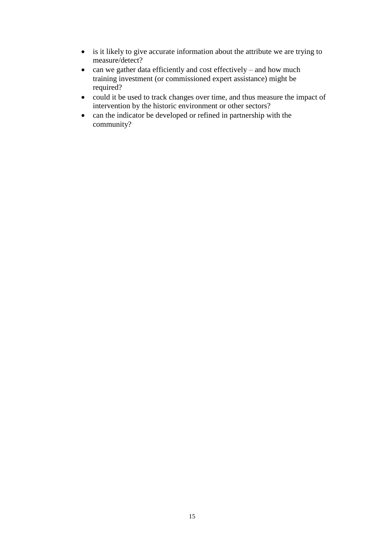- is it likely to give accurate information about the attribute we are trying to measure/detect?
- $\bullet$  can we gather data efficiently and cost effectively and how much training investment (or commissioned expert assistance) might be required?
- could it be used to track changes over time, and thus measure the impact of intervention by the historic environment or other sectors?
- can the indicator be developed or refined in partnership with the community?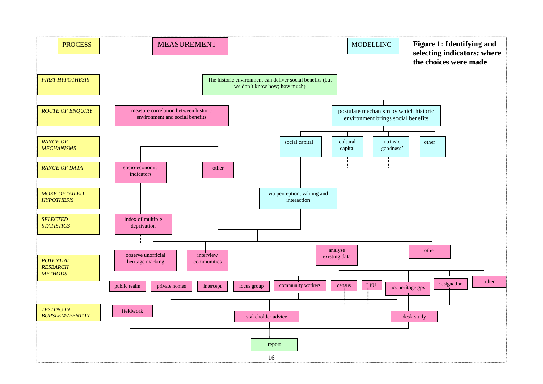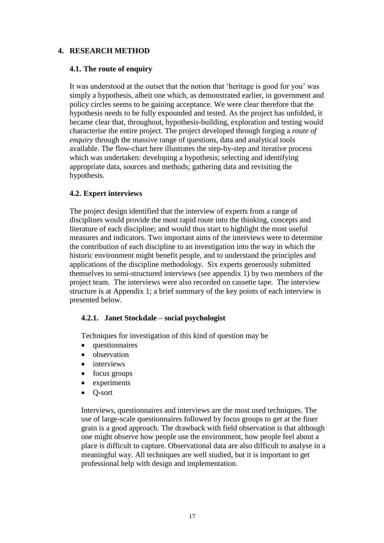# **4. RESEARCH METHOD**

## **4.1. The route of enquiry**

It was understood at the outset that the notion that 'heritage is good for you' was simply a hypothesis, albeit one which, as demonstrated earlier, in government and policy circles seems to be gaining acceptance. We were clear therefore that the hypothesis needs to be fully expounded and tested. As the project has unfolded, it became clear that, throughout, hypothesis-building, exploration and testing would characterise the entire project. The project developed through forging a *route of enquiry* through the massive range of questions, data and analytical tools available. The flow-chart here illustrates the step-by-step and iterative process which was undertaken: developing a hypothesis; selecting and identifying appropriate data, sources and methods; gathering data and revisiting the hypothesis.

## **4.2. Expert interviews**

The project design identified that the interview of experts from a range of disciplines would provide the most rapid route into the thinking, concepts and literature of each discipline; and would thus start to highlight the most useful measures and indicators. Two important aims of the interviews were to determine the contribution of each discipline to an investigation into the way in which the historic environment might benefit people, and to understand the principles and applications of the discipline methodology. Six experts generously submitted themselves to semi-structured interviews (see appendix 1) by two members of the project team. The interviews were also recorded on cassette tape. The interview structure is at Appendix 1; a brief summary of the key points of each interview is presented below.

#### **4.2.1. Janet Stockdale –social psychologist**

Techniques for investigation of this kind of question may be

- questionnaires
- observation
- interviews
- focus groups
- experiments
- O-sort

Interviews, questionnaires and interviews are the most used techniques. The use of large-scale questionnaires followed by focus groups to get at the finer grain is a good approach. The drawback with field observation is that although one might observe how people use the environment, how people feel about a place is difficult to capture. Observational data are also difficult to analyse in a meaningful way. All techniques are well studied, but it is important to get professional help with design and implementation.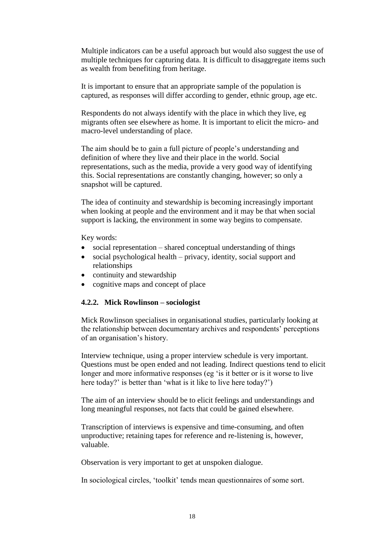Multiple indicators can be a useful approach but would also suggest the use of multiple techniques for capturing data. It is difficult to disaggregate items such as wealth from benefiting from heritage.

It is important to ensure that an appropriate sample of the population is captured, as responses will differ according to gender, ethnic group, age etc.

Respondents do not always identify with the place in which they live, eg migrants often see elsewhere as home. It is important to elicit the micro- and macro-level understanding of place.

The aim should be to gain a full picture of people's understanding and definition of where they live and their place in the world. Social representations, such as the media, provide a very good way of identifying this. Social representations are constantly changing, however; so only a snapshot will be captured.

The idea of continuity and stewardship is becoming increasingly important when looking at people and the environment and it may be that when social support is lacking, the environment in some way begins to compensate.

Key words:

- social representation shared conceptual understanding of things
- $\bullet$  social psychological health privacy, identity, social support and relationships
- continuity and stewardship
- cognitive maps and concept of place

#### **4.2.2. Mick Rowlinson –sociologist**

Mick Rowlinson specialises in organisational studies, particularly looking at the relationship between documentary archives and respondents' perceptions of an organisation's history.

Interview technique, using a proper interview schedule is very important. Questions must be open ended and not leading. Indirect questions tend to elicit longer and more informative responses (eg 'is it better or is it worse to live here today?' is better than 'what is it like to live here today?')

The aim of an interview should be to elicit feelings and understandings and long meaningful responses, not facts that could be gained elsewhere.

Transcription of interviews is expensive and time-consuming, and often unproductive; retaining tapes for reference and re-listening is, however, valuable.

Observation is very important to get at unspoken dialogue.

In sociological circles, 'toolkit' tends mean questionnaires of some sort.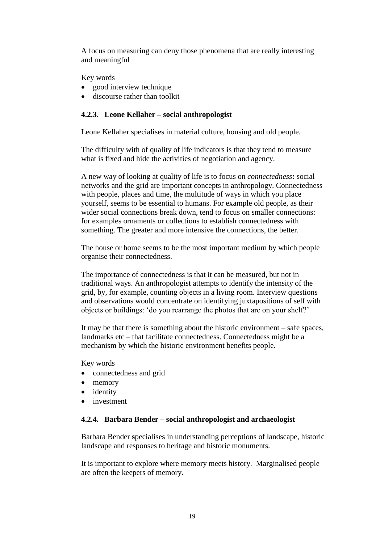A focus on measuring can deny those phenomena that are really interesting and meaningful

Key words

- good interview technique
- discourse rather than toolkit

## **4.2.3. Leone Kellaher –social anthropologist**

Leone Kellaher specialises in material culture, housing and old people.

The difficulty with of quality of life indicators is that they tend to measure what is fixed and hide the activities of negotiation and agency.

A new way of looking at quality of life is to focus on *connectedness***:** social networks and the grid are important concepts in anthropology. Connectedness with people, places and time, the multitude of ways in which you place yourself, seems to be essential to humans. For example old people, as their wider social connections break down, tend to focus on smaller connections: for examples ornaments or collections to establish connectedness with something. The greater and more intensive the connections, the better.

The house or home seems to be the most important medium by which people organise their connectedness.

The importance of connectedness is that it can be measured, but not in traditional ways. An anthropologist attempts to identify the intensity of the grid, by, for example, counting objects in a living room. Interview questions and observations would concentrate on identifying juxtapositions of self with objects or buildings: 'do you rearrange the photos that are on your shelf?'

It may be that there is something about the historic environment  $-$  safe spaces, landmarks etc – that facilitate connectedness. Connectedness might be a mechanism by which the historic environment benefits people.

Key words

- connectedness and grid
- memory
- identity
- investment

#### **4.2.4. Barbara Bender –social anthropologist and archaeologist**

Barbara Bender **s**pecialises in understanding perceptions of landscape, historic landscape and responses to heritage and historic monuments.

It is important to explore where memory meets history. Marginalised people are often the keepers of memory.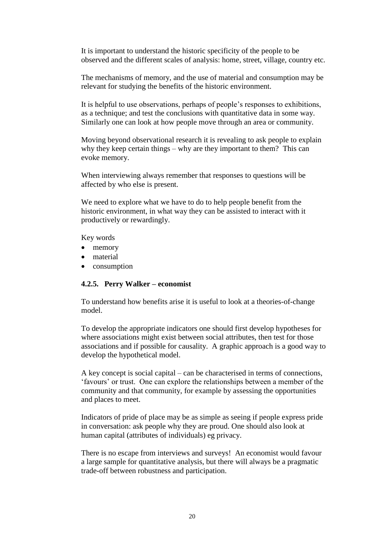It is important to understand the historic specificity of the people to be observed and the different scales of analysis: home, street, village, country etc.

The mechanisms of memory, and the use of material and consumption may be relevant for studying the benefits of the historic environment.

It is helpful to use observations, perhaps of people's responses to exhibitions, as a technique; and test the conclusions with quantitative data in some way. Similarly one can look at how people move through an area or community.

Moving beyond observational research it is revealing to ask people to explain why they keep certain things – why are they important to them? This can evoke memory.

When interviewing always remember that responses to questions will be affected by who else is present.

We need to explore what we have to do to help people benefit from the historic environment, in what way they can be assisted to interact with it productively or rewardingly.

Key words

- memory
- material
- consumption

#### **4.2.5. Perry Walker –economist**

To understand how benefits arise it is useful to look at a theories-of-change model.

To develop the appropriate indicators one should first develop hypotheses for where associations might exist between social attributes, then test for those associations and if possible for causality. A graphic approach is a good way to develop the hypothetical model.

A key concept is social capital – can be characterised in terms of connections, 'favours' or trust. One can explore the relationships between a member of the community and that community, for example by assessing the opportunities and places to meet.

Indicators of pride of place may be as simple as seeing if people express pride in conversation: ask people why they are proud. One should also look at human capital (attributes of individuals) eg privacy.

There is no escape from interviews and surveys! An economist would favour a large sample for quantitative analysis, but there will always be a pragmatic trade-off between robustness and participation.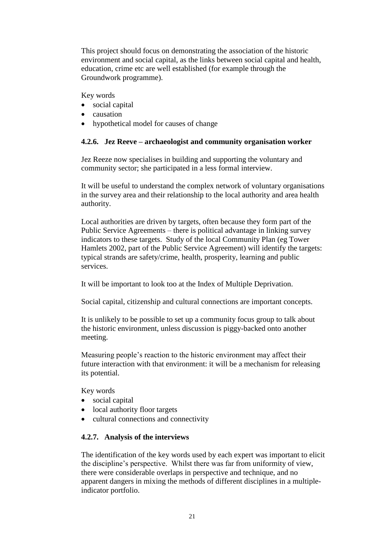This project should focus on demonstrating the association of the historic environment and social capital, as the links between social capital and health, education, crime etc are well established (for example through the Groundwork programme).

Key words

- social capital
- causation
- hypothetical model for causes of change

# **4.2.6. Jez Reeve –archaeologist and community organisation worker**

Jez Reeze now specialises in building and supporting the voluntary and community sector; she participated in a less formal interview.

It will be useful to understand the complex network of voluntary organisations in the survey area and their relationship to the local authority and area health authority.

Local authorities are driven by targets, often because they form part of the Public Service Agreements – there is political advantage in linking survey indicators to these targets. Study of the local Community Plan (eg Tower Hamlets 2002, part of the Public Service Agreement) will identify the targets: typical strands are safety/crime, health, prosperity, learning and public services.

It will be important to look too at the Index of Multiple Deprivation.

Social capital, citizenship and cultural connections are important concepts.

It is unlikely to be possible to set up a community focus group to talk about the historic environment, unless discussion is piggy-backed onto another meeting.

Measuring people's reaction to the historic environment may affect their future interaction with that environment: it will be a mechanism for releasing its potential.

Key words

- social capital
- local authority floor targets
- cultural connections and connectivity

# **4.2.7. Analysis of the interviews**

The identification of the key words used by each expert was important to elicit the discipline's perspective. Whilst there was far from uniformity of view, there were considerable overlaps in perspective and technique, and no apparent dangers in mixing the methods of different disciplines in a multipleindicator portfolio.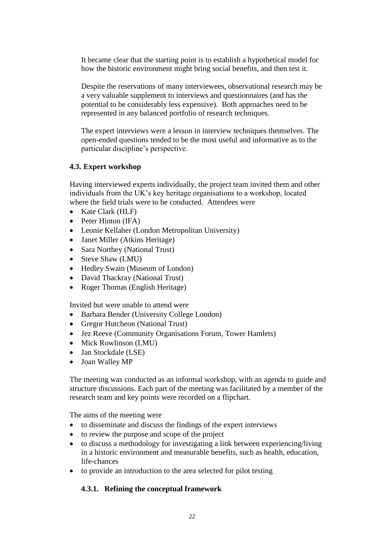It became clear that the starting point is to establish a hypothetical model for how the historic environment might bring social benefits, and then test it.

Despite the reservations of many interviewees, observational research may be a very valuable supplement to interviews and questionnaires (and has the potential to be considerably less expensive). Both approaches need to be represented in any balanced portfolio of research techniques.

The expert interviews were a lesson in interview techniques themselves. The open-ended questions tended to be the most useful and informative as to the particular discipline's perspective.

## **4.3. Expert workshop**

Having interviewed experts individually, the project team invited them and other individuals from the UK's key heritage organisations to a workshop, located where the field trials were to be conducted. Attendees were

- Kate Clark (HLF)
- $\bullet$  Peter Hinton (IFA)
- Leonie Kellaher (London Metropolitan University)
- Janet Miller (Atkins Heritage)
- Sara Northey (National Trust)
- Steve Shaw (LMU)
- Hedley Swain (Museum of London)
- David Thackray (National Trust)
- Roger Thomas (English Heritage)

Invited but were unable to attend were

- Barbara Bender (University College London)
- Gregor Hutcheon (National Trust)
- Jez Reeve (Community Organisations Forum, Tower Hamlets)
- Mick Rowlinson (LMU)
- Jan Stockdale (LSE)
- Joan Walley MP

The meeting was conducted as an informal workshop, with an agenda to guide and structure discussions. Each part of the meeting was facilitated by a member of the research team and key points were recorded on a flipchart.

The aims of the meeting were

- to disseminate and discuss the findings of the expert interviews
- to review the purpose and scope of the project
- to discuss a methodology for investigating a link between experiencing/living in a historic environment and measurable benefits, such as health, education, life-chances
- to provide an introduction to the area selected for pilot testing

# **4.3.1. Refining the conceptual framework**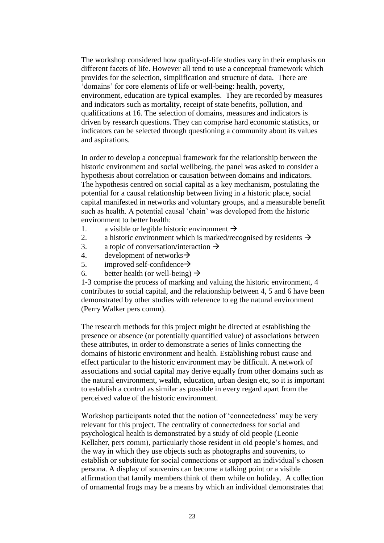The workshop considered how quality-of-life studies vary in their emphasis on different facets of life. However all tend to use a conceptual framework which provides for the selection, simplification and structure of data. There are 'domains' for core elements of life or well-being: health, poverty, environment, education are typical examples. They are recorded by measures and indicators such as mortality, receipt of state benefits, pollution, and qualifications at 16. The selection of domains, measures and indicators is driven by research questions. They can comprise hard economic statistics, or indicators can be selected through questioning a community about its values and aspirations.

In order to develop a conceptual framework for the relationship between the historic environment and social wellbeing, the panel was asked to consider a hypothesis about correlation or causation between domains and indicators. The hypothesis centred on social capital as a key mechanism, postulating the potential for a causal relationship between living in a historic place, social capital manifested in networks and voluntary groups, and a measurable benefit such as health. A potential causal 'chain' was developed from the historic environment to better health:

- 1. a visible or legible historic environment  $\rightarrow$
- 2. a historic environment which is marked/recognised by residents  $\rightarrow$
- 3. a topic of conversation/interaction  $\rightarrow$
- 4. development of networks  $\rightarrow$
- 5. improved self-confidence  $\rightarrow$
- 6. better health (or well-being)  $\rightarrow$

1-3 comprise the process of marking and valuing the historic environment, 4 contributes to social capital, and the relationship between 4, 5 and 6 have been demonstrated by other studies with reference to eg the natural environment (Perry Walker pers comm).

The research methods for this project might be directed at establishing the presence or absence (or potentially quantified value) of associations between these attributes, in order to demonstrate a series of links connecting the domains of historic environment and health. Establishing robust cause and effect particular to the historic environment may be difficult. A network of associations and social capital may derive equally from other domains such as the natural environment, wealth, education, urban design etc, so it is important to establish a control as similar as possible in every regard apart from the perceived value of the historic environment.

Workshop participants noted that the notion of 'connectedness' may be very relevant for this project. The centrality of connectedness for social and psychological health is demonstrated by a study of old people (Leonie Kellaher, pers comm), particularly those resident in old people's homes, and the way in which they use objects such as photographs and souvenirs, to establish or substitute for social connections or support an individual's chosen persona. A display of souvenirs can become a talking point or a visible affirmation that family members think of them while on holiday. A collection of ornamental frogs may be a means by which an individual demonstrates that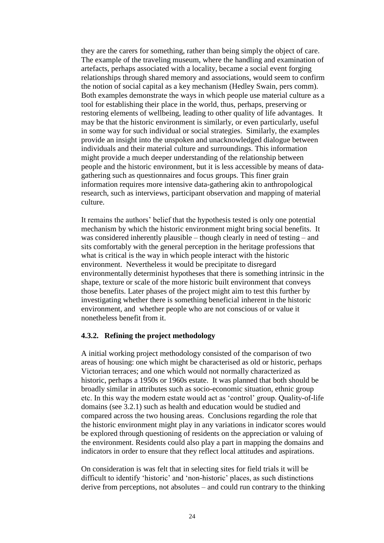they are the carers for something, rather than being simply the object of care. The example of the traveling museum, where the handling and examination of artefacts, perhaps associated with a locality, became a social event forging relationships through shared memory and associations, would seem to confirm the notion of social capital as a key mechanism (Hedley Swain, pers comm). Both examples demonstrate the ways in which people use material culture as a tool for establishing their place in the world, thus, perhaps, preserving or restoring elements of wellbeing, leading to other quality of life advantages. It may be that the historic environment is similarly, or even particularly, useful in some way for such individual or social strategies. Similarly, the examples provide an insight into the unspoken and unacknowledged dialogue between individuals and their material culture and surroundings. This information might provide a much deeper understanding of the relationship between people and the historic environment, but it is less accessible by means of datagathering such as questionnaires and focus groups. This finer grain information requires more intensive data-gathering akin to anthropological research, such as interviews, participant observation and mapping of material culture.

It remains the authors' belief that the hypothesis tested is only one potential mechanism by which the historic environment might bring social benefits. It was considered inherently plausible – though clearly in need of testing – and sits comfortably with the general perception in the heritage professions that what is critical is the way in which people interact with the historic environment. Nevertheless it would be precipitate to disregard environmentally determinist hypotheses that there is something intrinsic in the shape, texture or scale of the more historic built environment that conveys those benefits. Later phases of the project might aim to test this further by investigating whether there is something beneficial inherent in the historic environment, and whether people who are not conscious of or value it nonetheless benefit from it.

## **4.3.2. Refining the project methodology**

A initial working project methodology consisted of the comparison of two areas of housing: one which might be characterised as old or historic, perhaps Victorian terraces; and one which would not normally characterized as historic, perhaps a 1950s or 1960s estate. It was planned that both should be broadly similar in attributes such as socio-economic situation, ethnic group etc. In this way the modern estate would act as 'control' group. Quality-of-life domains (see 3.2.1) such as health and education would be studied and compared across the two housing areas. Conclusions regarding the role that the historic environment might play in any variations in indicator scores would be explored through questioning of residents on the appreciation or valuing of the environment. Residents could also play a part in mapping the domains and indicators in order to ensure that they reflect local attitudes and aspirations.

On consideration is was felt that in selecting sites for field trials it will be difficult to identify 'historic' and 'non-historic' places, as such distinctions derive from perceptions, not absolutes  $-$  and could run contrary to the thinking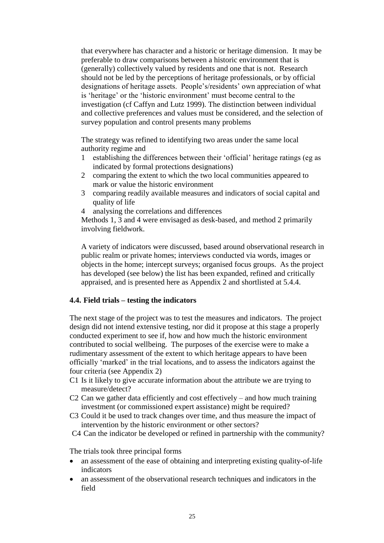that everywhere has character and a historic or heritage dimension. It may be preferable to draw comparisons between a historic environment that is (generally) collectively valued by residents and one that is not. Research should not be led by the perceptions of heritage professionals, or by official designations of heritage assets. People's/residents' own appreciation of what is 'heritage' or the 'historic environment' must become central to the investigation (cf Caffyn and Lutz 1999). The distinction between individual and collective preferences and values must be considered, and the selection of survey population and control presents many problems

The strategy was refined to identifying two areas under the same local authority regime and

- 1 establishing the differences between their 'official' heritage ratings (eg as indicated by formal protections designations)
- 2 comparing the extent to which the two local communities appeared to mark or value the historic environment
- 3 comparing readily available measures and indicators of social capital and quality of life
- 4 analysing the correlations and differences

Methods 1, 3 and 4 were envisaged as desk-based, and method 2 primarily involving fieldwork.

A variety of indicators were discussed, based around observational research in public realm or private homes; interviews conducted via words, images or objects in the home; intercept surveys; organised focus groups. As the project has developed (see below) the list has been expanded, refined and critically appraised, and is presented here as Appendix 2 and shortlisted at 5.4.4.

#### **4.4. Field trials –testing the indicators**

The next stage of the project was to test the measures and indicators. The project design did not intend extensive testing, nor did it propose at this stage a properly conducted experiment to see if, how and how much the historic environment contributed to social wellbeing. The purposes of the exercise were to make a rudimentary assessment of the extent to which heritage appears to have been officially 'marked' in the trial locations, and to assess the indicators against the four criteria (see Appendix 2)

- C1 Is it likely to give accurate information about the attribute we are trying to measure/detect?
- C2 Can we gather data efficiently and cost effectively and how much training investment (or commissioned expert assistance) might be required?
- C3 Could it be used to track changes over time, and thus measure the impact of intervention by the historic environment or other sectors?
- C4 Can the indicator be developed or refined in partnership with the community?

The trials took three principal forms

- an assessment of the ease of obtaining and interpreting existing quality-of-life indicators
- an assessment of the observational research techniques and indicators in the field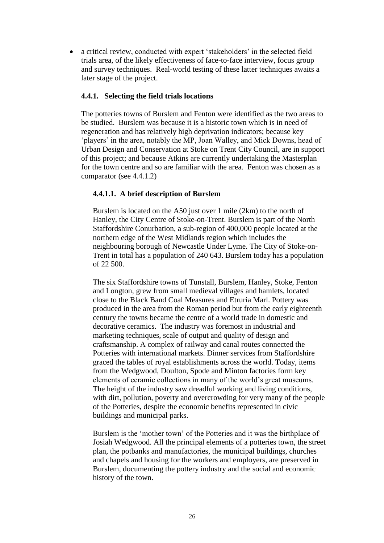• a critical review, conducted with expert 'stakeholders' in the selected field trials area, of the likely effectiveness of face-to-face interview, focus group and survey techniques. Real-world testing of these latter techniques awaits a later stage of the project.

### **4.4.1. Selecting the field trials locations**

The potteries towns of Burslem and Fenton were identified as the two areas to be studied. Burslem was because it is a historic town which is in need of regeneration and has relatively high deprivation indicators; because key 'players' in the area, notably the MP, Joan Walley, and Mick Downs, head of Urban Design and Conservation at Stoke on Trent City Council, are in support of this project; and because Atkins are currently undertaking the Masterplan for the town centre and so are familiar with the area. Fenton was chosen as a comparator (see 4.4.1.2)

# **4.4.1.1. A brief description of Burslem**

Burslem is located on the A50 just over 1 mile (2km) to the north of Hanley, the City Centre of Stoke-on-Trent. Burslem is part of the North Staffordshire Conurbation, a sub-region of 400,000 people located at the northern edge of the West Midlands region which includes the neighbouring borough of Newcastle Under Lyme. The City of Stoke-on-Trent in total has a population of 240 643. Burslem today has a population of 22 500.

The six Staffordshire towns of Tunstall, Burslem, Hanley, Stoke, Fenton and Longton, grew from small medieval villages and hamlets, located close to the Black Band Coal Measures and Etruria Marl. Pottery was produced in the area from the Roman period but from the early eighteenth century the towns became the centre of a world trade in domestic and decorative ceramics. The industry was foremost in industrial and marketing techniques, scale of output and quality of design and craftsmanship. A complex of railway and canal routes connected the Potteries with international markets. Dinner services from Staffordshire graced the tables of royal establishments across the world. Today, items from the Wedgwood, Doulton, Spode and Minton factories form key elements of ceramic collections in many of the world's great museums. The height of the industry saw dreadful working and living conditions, with dirt, pollution, poverty and overcrowding for very many of the people of the Potteries, despite the economic benefits represented in civic buildings and municipal parks.

Burslem is the 'mother town' of the Potteries and it was the birthplace of Josiah Wedgwood. All the principal elements of a potteries town, the street plan, the potbanks and manufactories, the municipal buildings, churches and chapels and housing for the workers and employers, are preserved in Burslem, documenting the pottery industry and the social and economic history of the town.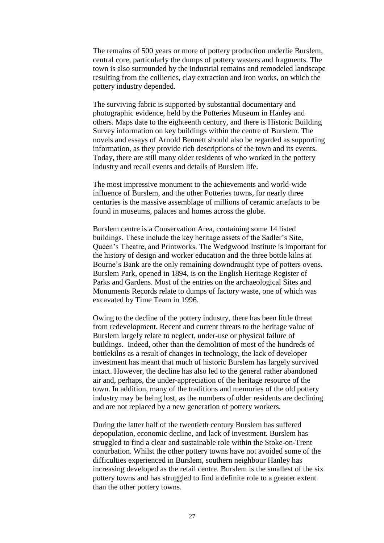The remains of 500 years or more of pottery production underlie Burslem, central core, particularly the dumps of pottery wasters and fragments. The town is also surrounded by the industrial remains and remodeled landscape resulting from the collieries, clay extraction and iron works, on which the pottery industry depended.

The surviving fabric is supported by substantial documentary and photographic evidence, held by the Potteries Museum in Hanley and others. Maps date to the eighteenth century, and there is Historic Building Survey information on key buildings within the centre of Burslem. The novels and essays of Arnold Bennett should also be regarded as supporting information, as they provide rich descriptions of the town and its events. Today, there are still many older residents of who worked in the pottery industry and recall events and details of Burslem life.

The most impressive monument to the achievements and world-wide influence of Burslem, and the other Potteries towns, for nearly three centuries is the massive assemblage of millions of ceramic artefacts to be found in museums, palaces and homes across the globe.

Burslem centre is a Conservation Area, containing some 14 listed buildings. These include the key heritage assets of the Sadler's Site, Queen's Theatre, and Printworks. The Wedgwood Institute is important for the history of design and worker education and the three bottle kilns at Bourne's Bank are the only remaining downdraught type of potters ovens. Burslem Park, opened in 1894, is on the English Heritage Register of Parks and Gardens. Most of the entries on the archaeological Sites and Monuments Records relate to dumps of factory waste, one of which was excavated by Time Team in 1996.

Owing to the decline of the pottery industry, there has been little threat from redevelopment. Recent and current threats to the heritage value of Burslem largely relate to neglect, under-use or physical failure of buildings. Indeed, other than the demolition of most of the hundreds of bottlekilns as a result of changes in technology, the lack of developer investment has meant that much of historic Burslem has largely survived intact. However, the decline has also led to the general rather abandoned air and, perhaps, the under-appreciation of the heritage resource of the town. In addition, many of the traditions and memories of the old pottery industry may be being lost, as the numbers of older residents are declining and are not replaced by a new generation of pottery workers.

During the latter half of the twentieth century Burslem has suffered depopulation, economic decline, and lack of investment. Burslem has struggled to find a clear and sustainable role within the Stoke-on-Trent conurbation. Whilst the other pottery towns have not avoided some of the difficulties experienced in Burslem, southern neighbour Hanley has increasing developed as the retail centre. Burslem is the smallest of the six pottery towns and has struggled to find a definite role to a greater extent than the other pottery towns.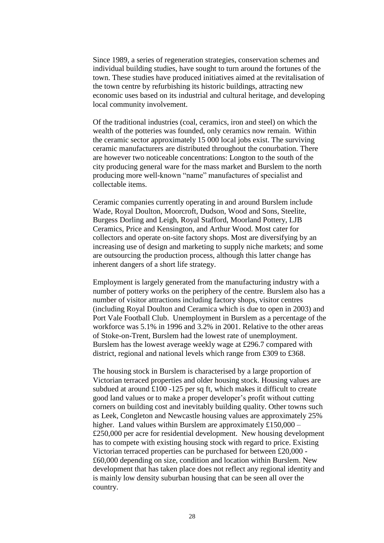Since 1989, a series of regeneration strategies, conservation schemes and individual building studies, have sought to turn around the fortunes of the town. These studies have produced initiatives aimed at the revitalisation of the town centre by refurbishing its historic buildings, attracting new economic uses based on its industrial and cultural heritage, and developing local community involvement.

Of the traditional industries (coal, ceramics, iron and steel) on which the wealth of the potteries was founded, only ceramics now remain. Within the ceramic sector approximately 15 000 local jobs exist. The surviving ceramic manufacturers are distributed throughout the conurbation. There are however two noticeable concentrations: Longton to the south of the city producing general ware for the mass market and Burslem to the north producing more well-known "name" manufactures of specialist and collectable items.

Ceramic companies currently operating in and around Burslem include Wade, Royal Doulton, Moorcroft, Dudson, Wood and Sons, Steelite, Burgess Dorling and Leigh, Royal Stafford, Moorland Pottery, LJB Ceramics, Price and Kensington, and Arthur Wood. Most cater for collectors and operate on-site factory shops. Most are diversifying by an increasing use of design and marketing to supply niche markets; and some are outsourcing the production process, although this latter change has inherent dangers of a short life strategy.

Employment is largely generated from the manufacturing industry with a number of pottery works on the periphery of the centre. Burslem also has a number of visitor attractions including factory shops, visitor centres (including Royal Doulton and Ceramica which is due to open in 2003) and Port Vale Football Club. Unemployment in Burslem as a percentage of the workforce was 5.1% in 1996 and 3.2% in 2001. Relative to the other areas of Stoke-on-Trent, Burslem had the lowest rate of unemployment. Burslem has the lowest average weekly wage at £296.7 compared with district, regional and national levels which range from £309 to £368.

The housing stock in Burslem is characterised by a large proportion of Victorian terraced properties and older housing stock. Housing values are subdued at around £100 -125 per sq ft, which makes it difficult to create good land values or to make a proper developer's profit without cutting corners on building cost and inevitably building quality. Other towns such as Leek, Congleton and Newcastle housing values are approximately 25% higher. Land values within Burslem are approximately £150,000 – £250,000 per acre for residential development. New housing development has to compete with existing housing stock with regard to price. Existing Victorian terraced properties can be purchased for between £20,000 - £60,000 depending on size, condition and location within Burslem. New development that has taken place does not reflect any regional identity and is mainly low density suburban housing that can be seen all over the country.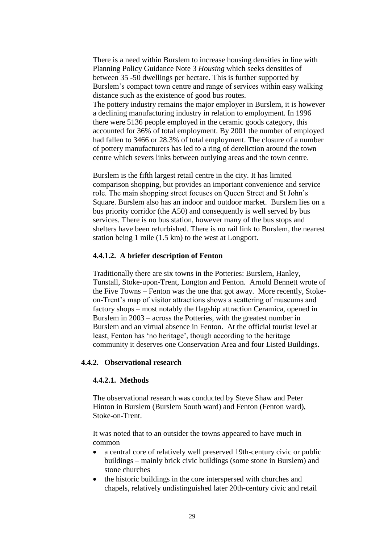There is a need within Burslem to increase housing densities in line with Planning Policy Guidance Note 3 *Housing* which seeks densities of between 35 -50 dwellings per hectare. This is further supported by Burslem's compact town centre and range of services within easy walking distance such as the existence of good bus routes.

The pottery industry remains the major employer in Burslem, it is however a declining manufacturing industry in relation to employment. In 1996 there were 5136 people employed in the ceramic goods category, this accounted for 36% of total employment. By 2001 the number of employed had fallen to 3466 or 28.3% of total employment. The closure of a number of pottery manufacturers has led to a ring of dereliction around the town centre which severs links between outlying areas and the town centre.

Burslem is the fifth largest retail centre in the city. It has limited comparison shopping, but provides an important convenience and service role. The main shopping street focuses on Queen Street and St John's Square. Burslem also has an indoor and outdoor market. Burslem lies on a bus priority corridor (the A50) and consequently is well served by bus services. There is no bus station, however many of the bus stops and shelters have been refurbished. There is no rail link to Burslem, the nearest station being 1 mile (1.5 km) to the west at Longport.

#### **4.4.1.2. A briefer description of Fenton**

Traditionally there are six towns in the Potteries: Burslem, Hanley, Tunstall, Stoke-upon-Trent, Longton and Fenton. Arnold Bennett wrote of the Five Towns – Fenton was the one that got away. More recently, Stokeon-Trent's map of visitor attractions shows a scattering of museums and factory shops – most notably the flagship attraction Ceramica, opened in Burslem in 2003 – across the Potteries, with the greatest number in Burslem and an virtual absence in Fenton. At the official tourist level at least, Fenton has 'no heritage', though according to the heritage community it deserves one Conservation Area and four Listed Buildings.

#### **4.4.2. Observational research**

#### **4.4.2.1. Methods**

The observational research was conducted by Steve Shaw and Peter Hinton in Burslem (Burslem South ward) and Fenton (Fenton ward), Stoke-on-Trent.

It was noted that to an outsider the towns appeared to have much in common

- a central core of relatively well preserved 19th-century civic or public buildings – mainly brick civic buildings (some stone in Burslem) and stone churches
- the historic buildings in the core interspersed with churches and chapels, relatively undistinguished later 20th-century civic and retail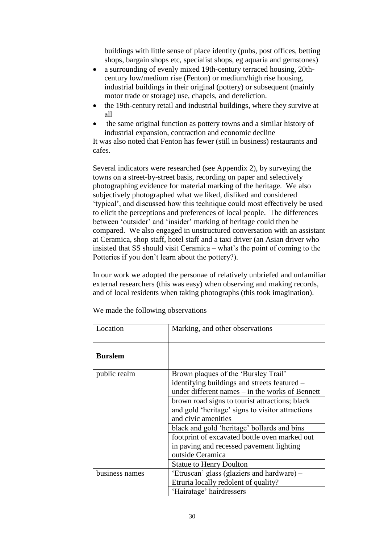buildings with little sense of place identity (pubs, post offices, betting shops, bargain shops etc, specialist shops, eg aquaria and gemstones)

- a surrounding of evenly mixed 19th-century terraced housing, 20thcentury low/medium rise (Fenton) or medium/high rise housing, industrial buildings in their original (pottery) or subsequent (mainly motor trade or storage) use, chapels, and dereliction.
- the 19th-century retail and industrial buildings, where they survive at all
- the same original function as pottery towns and a similar history of industrial expansion, contraction and economic decline

It was also noted that Fenton has fewer (still in business) restaurants and cafes.

Several indicators were researched (see Appendix 2), by surveying the towns on a street-by-street basis, recording on paper and selectively photographing evidence for material marking of the heritage. We also subjectively photographed what we liked, disliked and considered 'typical', and discussed how this technique could most effectively be used to elicit the perceptions and preferences of local people. The differences between'outsider'and'insider'marking of heritage could then be compared. We also engaged in unstructured conversation with an assistant at Ceramica, shop staff, hotel staff and a taxi driver (an Asian driver who insisted that  $SS$  should visit Ceramica – what's the point of coming to the Potteries if you don't learn about the pottery?).

In our work we adopted the personae of relatively unbriefed and unfamiliar external researchers (this was easy) when observing and making records, and of local residents when taking photographs (this took imagination).

| Location       | Marking, and other observations                  |
|----------------|--------------------------------------------------|
| <b>Burslem</b> |                                                  |
| public realm   | Brown plaques of the 'Bursley Trail'             |
|                | identifying buildings and streets featured –     |
|                | under different names – in the works of Bennett  |
|                | brown road signs to tourist attractions; black   |
|                | and gold 'heritage' signs to visitor attractions |
|                | and civic amenities                              |
|                | black and gold 'heritage' bollards and bins      |
|                | footprint of excavated bottle oven marked out    |
|                | in paving and recessed pavement lighting         |
|                | outside Ceramica                                 |
|                | <b>Statue to Henry Doulton</b>                   |
| business names | 'Etruscan' glass (glaziers and hardware) –       |
|                | Etruria locally redolent of quality?             |
|                | 'Hairatage' hairdressers                         |

We made the following observations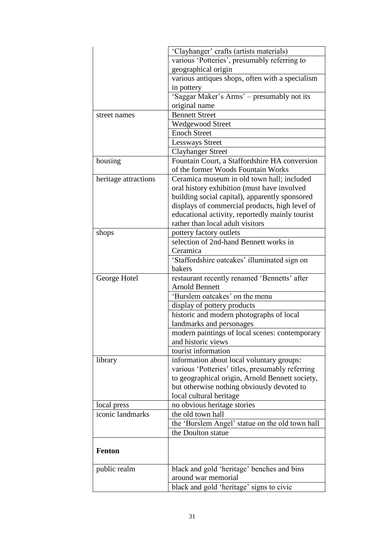|                      | 'Clayhanger' crafts (artists materials)                                                   |
|----------------------|-------------------------------------------------------------------------------------------|
|                      | various 'Potteries', presumably referring to                                              |
|                      | geographical origin                                                                       |
|                      | various antiques shops, often with a specialism                                           |
|                      | in pottery                                                                                |
|                      | 'Saggar Maker's Arms' - presumably not its                                                |
|                      | original name                                                                             |
| street names         | <b>Bennett Street</b>                                                                     |
|                      | Wedgewood Street                                                                          |
|                      | <b>Enoch Street</b>                                                                       |
|                      | <b>Lessways Street</b>                                                                    |
|                      | <b>Clayhanger Street</b>                                                                  |
| housing              | Fountain Court, a Staffordshire HA conversion                                             |
|                      | of the former Woods Fountain Works                                                        |
| heritage attractions | Ceramica museum in old town hall; included<br>oral history exhibition (must have involved |
|                      | building social capital), apparently sponsored                                            |
|                      | displays of commercial products, high level of                                            |
|                      | educational activity, reportedly mainly tourist                                           |
|                      | rather than local adult visitors                                                          |
| shops                | pottery factory outlets                                                                   |
|                      | selection of 2nd-hand Bennett works in                                                    |
|                      | Ceramica                                                                                  |
|                      | 'Staffordshire oatcakes' illuminated sign on                                              |
|                      | bakers                                                                                    |
| George Hotel         | restaurant recently renamed 'Bennetts' after                                              |
|                      | <b>Arnold Bennett</b>                                                                     |
|                      | 'Burslem oatcakes' on the menu                                                            |
|                      | display of pottery products                                                               |
|                      | historic and modern photographs of local                                                  |
|                      | landmarks and personages                                                                  |
|                      | modern paintings of local scenes: contemporary                                            |
|                      | and historic views                                                                        |
|                      | tourist information                                                                       |
| library              | information about local voluntary groups:                                                 |
|                      | various 'Potteries' titles, presumably referring                                          |
|                      | to geographical origin, Arnold Bennett society,                                           |
|                      | but otherwise nothing obviously devoted to                                                |
|                      | local cultural heritage                                                                   |
| local press          | no obvious heritage stories                                                               |
| iconic landmarks     | the old town hall                                                                         |
|                      | the 'Burslem Angel' statue on the old town hall                                           |
|                      | the Doulton statue                                                                        |
| <b>Fenton</b>        |                                                                                           |
|                      |                                                                                           |
| public realm         | black and gold 'heritage' benches and bins                                                |
|                      | around war memorial                                                                       |
|                      | black and gold 'heritage' signs to civic                                                  |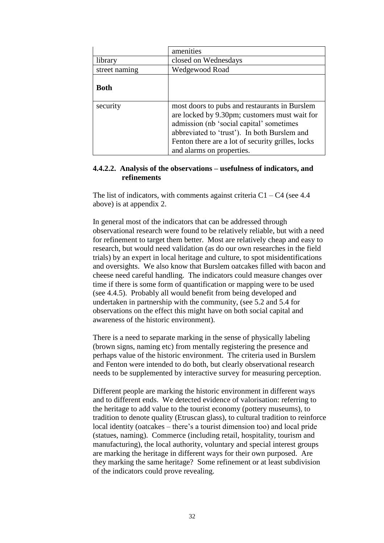|               | amenities                                                                                                                                                                                                                                                                    |
|---------------|------------------------------------------------------------------------------------------------------------------------------------------------------------------------------------------------------------------------------------------------------------------------------|
| library       | closed on Wednesdays                                                                                                                                                                                                                                                         |
| street naming | Wedgewood Road                                                                                                                                                                                                                                                               |
| <b>Both</b>   |                                                                                                                                                                                                                                                                              |
| security      | most doors to pubs and restaurants in Burslem<br>are locked by 9.30pm; customers must wait for<br>admission (nb 'social capital' sometimes<br>abbreviated to 'trust'). In both Burslem and<br>Fenton there are a lot of security grilles, locks<br>and alarms on properties. |

#### **4.4.2.2. Analysis of the observations –usefulness of indicators, and refinements**

The list of indicators, with comments against criteria  $C1 - C4$  (see 4.4) above) is at appendix 2.

In general most of the indicators that can be addressed through observational research were found to be relatively reliable, but with a need for refinement to target them better. Most are relatively cheap and easy to research, but would need validation (as do our own researches in the field trials) by an expert in local heritage and culture, to spot misidentifications and oversights. We also know that Burslem oatcakes filled with bacon and cheese need careful handling. The indicators could measure changes over time if there is some form of quantification or mapping were to be used (see 4.4.5). Probably all would benefit from being developed and undertaken in partnership with the community, (see 5.2 and 5.4 for observations on the effect this might have on both social capital and awareness of the historic environment).

There is a need to separate marking in the sense of physically labeling (brown signs, naming etc) from mentally registering the presence and perhaps value of the historic environment. The criteria used in Burslem and Fenton were intended to do both, but clearly observational research needs to be supplemented by interactive survey for measuring perception.

Different people are marking the historic environment in different ways and to different ends. We detected evidence of valorisation: referring to the heritage to add value to the tourist economy (pottery museums), to tradition to denote quality (Etruscan glass), to cultural tradition to reinforce local identity (oatcakes – there's a tourist dimension too) and local pride (statues, naming). Commerce (including retail, hospitality, tourism and manufacturing), the local authority, voluntary and special interest groups are marking the heritage in different ways for their own purposed. Are they marking the same heritage? Some refinement or at least subdivision of the indicators could prove revealing.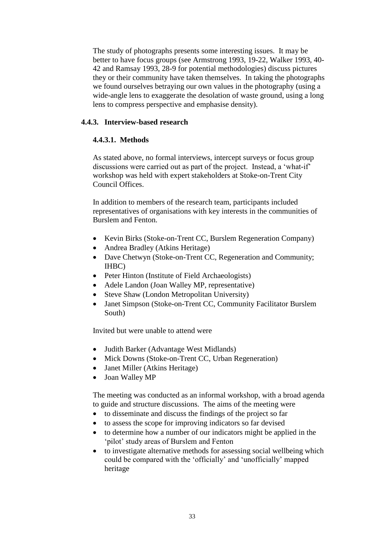The study of photographs presents some interesting issues. It may be better to have focus groups (see Armstrong 1993, 19-22, Walker 1993, 40- 42 and Ramsay 1993, 28-9 for potential methodologies) discuss pictures they or their community have taken themselves. In taking the photographs we found ourselves betraying our own values in the photography (using a wide-angle lens to exaggerate the desolation of waste ground, using a long lens to compress perspective and emphasise density).

### **4.4.3. Interview-based research**

# **4.4.3.1. Methods**

As stated above, no formal interviews, intercept surveys or focus group discussions were carried out as part of the project. Instead, a 'what-if' workshop was held with expert stakeholders at Stoke-on-Trent City Council Offices.

In addition to members of the research team, participants included representatives of organisations with key interests in the communities of Burslem and Fenton.

- Kevin Birks (Stoke-on-Trent CC, Burslem Regeneration Company)
- Andrea Bradley (Atkins Heritage)
- Dave Chetwyn (Stoke-on-Trent CC, Regeneration and Community; IHBC)
- Peter Hinton (Institute of Field Archaeologists)
- Adele Landon (Joan Walley MP, representative)
- Steve Shaw (London Metropolitan University)
- Janet Simpson (Stoke-on-Trent CC, Community Facilitator Burslem South)

Invited but were unable to attend were

- Judith Barker (Advantage West Midlands)
- Mick Downs (Stoke-on-Trent CC, Urban Regeneration)
- Janet Miller (Atkins Heritage)
- Joan Walley MP

The meeting was conducted as an informal workshop, with a broad agenda to guide and structure discussions. The aims of the meeting were

- to disseminate and discuss the findings of the project so far
- to assess the scope for improving indicators so far devised
- to determine how a number of our indicators might be applied in the 'pilot' study areas of Burslem and Fenton
- to investigate alternative methods for assessing social wellbeing which could be compared with the 'officially' and 'unofficially' mapped heritage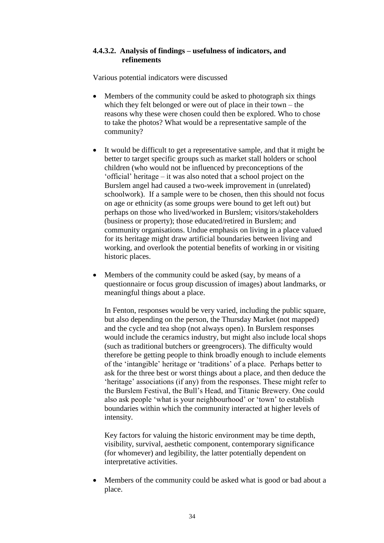#### **4.4.3.2. Analysis of findings –usefulness of indicators, and refinements**

Various potential indicators were discussed

- Members of the community could be asked to photograph six things which they felt belonged or were out of place in their town – the reasons why these were chosen could then be explored. Who to chose to take the photos? What would be a representative sample of the community?
- It would be difficult to get a representative sample, and that it might be better to target specific groups such as market stall holders or school children (who would not be influenced by preconceptions of the 'official'heritage–it was also noted that a school project on the Burslem angel had caused a two-week improvement in (unrelated) schoolwork). If a sample were to be chosen, then this should not focus on age or ethnicity (as some groups were bound to get left out) but perhaps on those who lived/worked in Burslem; visitors/stakeholders (business or property); those educated/retired in Burslem; and community organisations. Undue emphasis on living in a place valued for its heritage might draw artificial boundaries between living and working, and overlook the potential benefits of working in or visiting historic places.
- Members of the community could be asked (say, by means of a questionnaire or focus group discussion of images) about landmarks, or meaningful things about a place.

In Fenton, responses would be very varied, including the public square, but also depending on the person, the Thursday Market (not mapped) and the cycle and tea shop (not always open). In Burslem responses would include the ceramics industry, but might also include local shops (such as traditional butchers or greengrocers). The difficulty would therefore be getting people to think broadly enough to include elements of the 'intangible' heritage or 'traditions' of a place. Perhaps better to ask for the three best or worst things about a place, and then deduce the 'heritage' associations (if any) from the responses. These might refer to the Burslem Festival, the Bull's Head, and Titanic Brewery. One could also ask people 'what is your neighbourhood' or 'town' to establish boundaries within which the community interacted at higher levels of intensity.

Key factors for valuing the historic environment may be time depth, visibility, survival, aesthetic component, contemporary significance (for whomever) and legibility, the latter potentially dependent on interpretative activities.

 Members of the community could be asked what is good or bad about a place.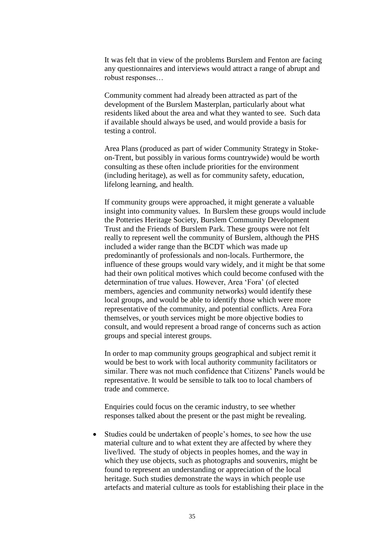It was felt that in view of the problems Burslem and Fenton are facing any questionnaires and interviews would attract a range of abrupt and robust responses...

Community comment had already been attracted as part of the development of the Burslem Masterplan, particularly about what residents liked about the area and what they wanted to see. Such data if available should always be used, and would provide a basis for testing a control.

Area Plans (produced as part of wider Community Strategy in Stokeon-Trent, but possibly in various forms countrywide) would be worth consulting as these often include priorities for the environment (including heritage), as well as for community safety, education, lifelong learning, and health.

If community groups were approached, it might generate a valuable insight into community values. In Burslem these groups would include the Potteries Heritage Society, Burslem Community Development Trust and the Friends of Burslem Park. These groups were not felt really to represent well the community of Burslem, although the PHS included a wider range than the BCDT which was made up predominantly of professionals and non-locals. Furthermore, the influence of these groups would vary widely, and it might be that some had their own political motives which could become confused with the determination of true values. However, Area 'Fora' (of elected members, agencies and community networks) would identify these local groups, and would be able to identify those which were more representative of the community, and potential conflicts. Area Fora themselves, or youth services might be more objective bodies to consult, and would represent a broad range of concerns such as action groups and special interest groups.

In order to map community groups geographical and subject remit it would be best to work with local authority community facilitators or similar. There was not much confidence that Citizens' Panels would be representative. It would be sensible to talk too to local chambers of trade and commerce.

Enquiries could focus on the ceramic industry, to see whether responses talked about the present or the past might be revealing.

• Studies could be undertaken of people's homes, to see how the use material culture and to what extent they are affected by where they live/lived. The study of objects in peoples homes, and the way in which they use objects, such as photographs and souvenirs, might be found to represent an understanding or appreciation of the local heritage. Such studies demonstrate the ways in which people use artefacts and material culture as tools for establishing their place in the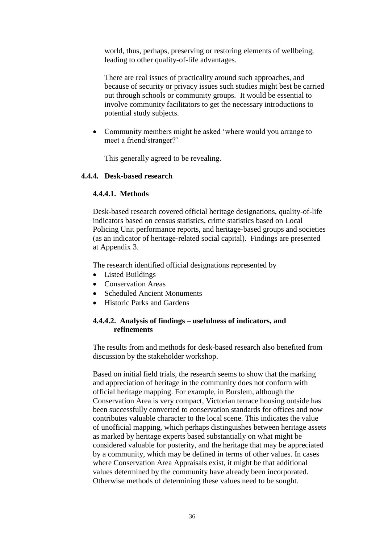world, thus, perhaps, preserving or restoring elements of wellbeing, leading to other quality-of-life advantages.

There are real issues of practicality around such approaches, and because of security or privacy issues such studies might best be carried out through schools or community groups. It would be essential to involve community facilitators to get the necessary introductions to potential study subjects.

• Community members might be asked 'where would you arrange to meet a friend/stranger?'

This generally agreed to be revealing.

#### **4.4.4. Desk-based research**

#### **4.4.4.1. Methods**

Desk-based research covered official heritage designations, quality-of-life indicators based on census statistics, crime statistics based on Local Policing Unit performance reports, and heritage-based groups and societies (as an indicator of heritage-related social capital). Findings are presented at Appendix 3.

The research identified official designations represented by

- Listed Buildings
- Conservation Areas
- Scheduled Ancient Monuments
- Historic Parks and Gardens

## **4.4.4.2. Analysis of findings –usefulness of indicators, and refinements**

The results from and methods for desk-based research also benefited from discussion by the stakeholder workshop.

Based on initial field trials, the research seems to show that the marking and appreciation of heritage in the community does not conform with official heritage mapping. For example, in Burslem, although the Conservation Area is very compact, Victorian terrace housing outside has been successfully converted to conservation standards for offices and now contributes valuable character to the local scene. This indicates the value of unofficial mapping, which perhaps distinguishes between heritage assets as marked by heritage experts based substantially on what might be considered valuable for posterity, and the heritage that may be appreciated by a community, which may be defined in terms of other values. In cases where Conservation Area Appraisals exist, it might be that additional values determined by the community have already been incorporated. Otherwise methods of determining these values need to be sought.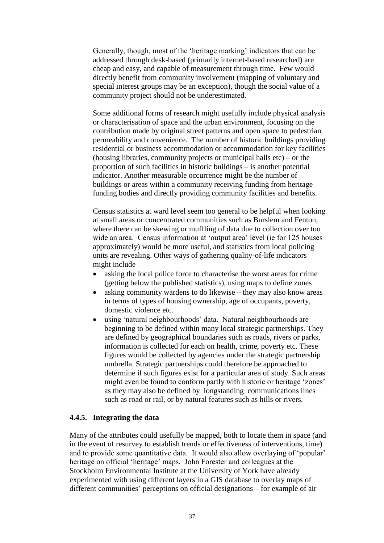Generally, though, most of the 'heritage marking' indicators that can be addressed through desk-based (primarily internet-based researched) are cheap and easy, and capable of measurement through time. Few would directly benefit from community involvement (mapping of voluntary and special interest groups may be an exception), though the social value of a community project should not be underestimated.

Some additional forms of research might usefully include physical analysis or characterisation of space and the urban environment, focusing on the contribution made by original street patterns and open space to pedestrian permeability and convenience. The number of historic buildings providing residential or business accommodation or accommodation for key facilities (housing libraries, community projects or municipal halls  $etc$ ) – or the proportion of such facilities in historic buildings  $-$  is another potential indicator. Another measurable occurrence might be the number of buildings or areas within a community receiving funding from heritage funding bodies and directly providing community facilities and benefits.

Census statistics at ward level seem too general to be helpful when looking at small areas or concentrated communities such as Burslem and Fenton, where there can be skewing or muffling of data due to collection over too wide an area. Census information at 'output area' level (ie for 125 houses approximately) would be more useful, and statistics from local policing units are revealing. Other ways of gathering quality-of-life indicators might include

- asking the local police force to characterise the worst areas for crime (getting below the published statistics), using maps to define zones
- asking community wardens to do likewise they may also know areas in terms of types of housing ownership, age of occupants, poverty, domestic violence etc.
- using 'natural neighbourhoods' data. Natural neighbourhoods are beginning to be defined within many local strategic partnerships. They are defined by geographical boundaries such as roads, rivers or parks, information is collected for each on health, crime, poverty etc. These figures would be collected by agencies under the strategic partnership umbrella. Strategic partnerships could therefore be approached to determine if such figures exist for a particular area of study. Such areas might even be found to conform partly with historic or heritage 'zones' as they may also be defined by longstanding communications lines such as road or rail, or by natural features such as hills or rivers.

#### **4.4.5. Integrating the data**

Many of the attributes could usefully be mapped, both to locate them in space (and in the event of resurvey to establish trends or effectiveness of interventions, time) and to provide some quantitative data. It would also allow overlaying of 'popular' heritage on official 'heritage' maps. John Forester and colleagues at the Stockholm Environmental Institute at the University of York have already experimented with using different layers in a GIS database to overlay maps of  $d$  different communities' perceptions on official designations – for example of air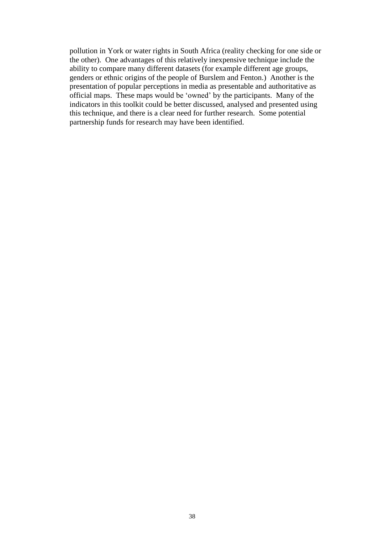pollution in York or water rights in South Africa (reality checking for one side or the other). One advantages of this relatively inexpensive technique include the ability to compare many different datasets (for example different age groups, genders or ethnic origins of the people of Burslem and Fenton.) Another is the presentation of popular perceptions in media as presentable and authoritative as official maps. These maps would be'owned'by the participants. Many of the indicators in this toolkit could be better discussed, analysed and presented using this technique, and there is a clear need for further research. Some potential partnership funds for research may have been identified.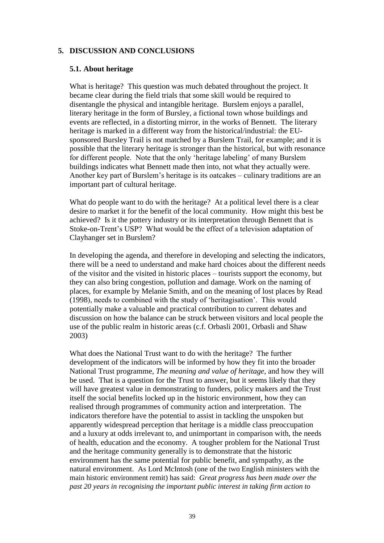### **5. DISCUSSION AND CONCLUSIONS**

#### **5.1. About heritage**

What is heritage? This question was much debated throughout the project. It became clear during the field trials that some skill would be required to disentangle the physical and intangible heritage. Burslem enjoys a parallel, literary heritage in the form of Bursley, a fictional town whose buildings and events are reflected, in a distorting mirror, in the works of Bennett. The literary heritage is marked in a different way from the historical/industrial: the EUsponsored Bursley Trail is not matched by a Burslem Trail, for example; and it is possible that the literary heritage is stronger than the historical, but with resonance for different people. Note that the only 'heritage labeling' of many Burslem buildings indicates what Bennett made then into, not what they actually were. Another key part of Burslem's heritage is its oatcakes – culinary traditions are an important part of cultural heritage.

What do people want to do with the heritage? At a political level there is a clear desire to market it for the benefit of the local community. How might this best be achieved? Is it the pottery industry or its interpretation through Bennett that is Stoke-on-Trent's USP? What would be the effect of a television adaptation of Clayhanger set in Burslem?

In developing the agenda, and therefore in developing and selecting the indicators, there will be a need to understand and make hard choices about the different needs of the visitor and the visited in historic places –tourists support the economy, but they can also bring congestion, pollution and damage. Work on the naming of places, for example by Melanie Smith, and on the meaning of lost places by Read (1998), needs to combined with the study of 'heritagisation'. This would potentially make a valuable and practical contribution to current debates and discussion on how the balance can be struck between visitors and local people the use of the public realm in historic areas (c.f. Orbasli 2001, Orbasli and Shaw 2003)

What does the National Trust want to do with the heritage? The further development of the indicators will be informed by how they fit into the broader National Trust programme, *The meaning and value of heritage*, and how they will be used. That is a question for the Trust to answer, but it seems likely that they will have greatest value in demonstrating to funders, policy makers and the Trust itself the social benefits locked up in the historic environment, how they can realised through programmes of community action and interpretation. The indicators therefore have the potential to assist in tackling the unspoken but apparently widespread perception that heritage is a middle class preoccupation and a luxury at odds irrelevant to, and unimportant in comparison with, the needs of health, education and the economy. A tougher problem for the National Trust and the heritage community generally is to demonstrate that the historic environment has the same potential for public benefit, and sympathy, as the natural environment. As Lord McIntosh (one of the two English ministers with the main historic environment remit) has said: *Great progress has been made over the past 20 years in recognising the important public interest in taking firm action to*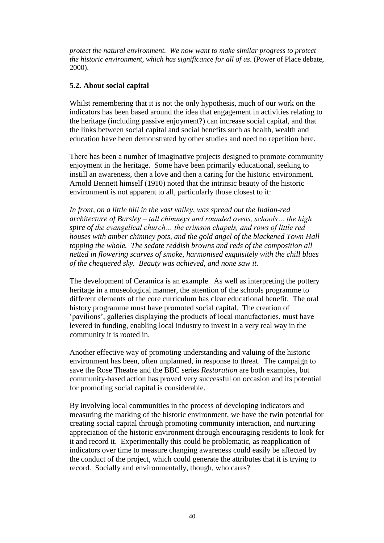*protect the natural environment. We now want to make similar progress to protect the historic environment, which has significance for all of us*. (Power of Place debate, 2000).

### **5.2. About social capital**

Whilst remembering that it is not the only hypothesis, much of our work on the indicators has been based around the idea that engagement in activities relating to the heritage (including passive enjoyment?) can increase social capital, and that the links between social capital and social benefits such as health, wealth and education have been demonstrated by other studies and need no repetition here.

There has been a number of imaginative projects designed to promote community enjoyment in the heritage. Some have been primarily educational, seeking to instill an awareness, then a love and then a caring for the historic environment. Arnold Bennett himself (1910) noted that the intrinsic beauty of the historic environment is not apparent to all, particularly those closest to it:

*In front, on a little hill in the vast valley, was spread out the Indian-red architecture of Bursley – tall chimneys and rounded ovens, schools... the high spire of the evangelical church*... the crimson chapels, and rows of little red *houses with amber chimney pots, and the gold angel of the blackened Town Hall topping the whole. The sedate reddish browns and reds of the composition all netted in flowering scarves of smoke, harmonised exquisitely with the chill blues of the chequered sky. Beauty was achieved, and none saw it.*

The development of Ceramica is an example. As well as interpreting the pottery heritage in a museological manner, the attention of the schools programme to different elements of the core curriculum has clear educational benefit. The oral history programme must have promoted social capital. The creation of 'pavilions', galleries displaying the products of local manufactories, must have levered in funding, enabling local industry to invest in a very real way in the community it is rooted in.

Another effective way of promoting understanding and valuing of the historic environment has been, often unplanned, in response to threat. The campaign to save the Rose Theatre and the BBC series *Restoration* are both examples, but community-based action has proved very successful on occasion and its potential for promoting social capital is considerable.

By involving local communities in the process of developing indicators and measuring the marking of the historic environment, we have the twin potential for creating social capital through promoting community interaction, and nurturing appreciation of the historic environment through encouraging residents to look for it and record it. Experimentally this could be problematic, as reapplication of indicators over time to measure changing awareness could easily be affected by the conduct of the project, which could generate the attributes that it is trying to record. Socially and environmentally, though, who cares?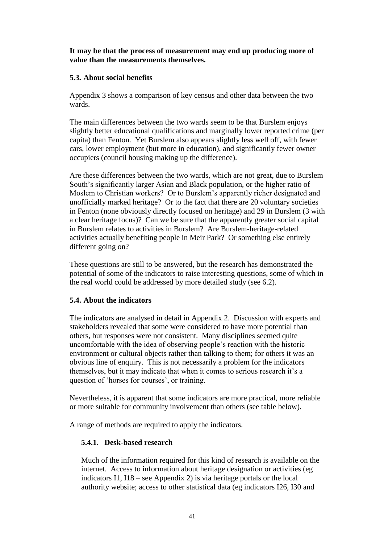#### **It may be that the process of measurement may end up producing more of value than the measurements themselves.**

### **5.3. About social benefits**

Appendix 3 shows a comparison of key census and other data between the two wards.

The main differences between the two wards seem to be that Burslem enjoys slightly better educational qualifications and marginally lower reported crime (per capita) than Fenton. Yet Burslem also appears slightly less well off, with fewer cars, lower employment (but more in education), and significantly fewer owner occupiers (council housing making up the difference).

Are these differences between the two wards, which are not great, due to Burslem South's significantly larger Asian and Black population, or the higher ratio of Moslem to Christian workers? Or to Burslem's apparently richer designated and unofficially marked heritage? Or to the fact that there are 20 voluntary societies in Fenton (none obviously directly focused on heritage) and 29 in Burslem (3 with a clear heritage focus)? Can we be sure that the apparently greater social capital in Burslem relates to activities in Burslem? Are Burslem-heritage-related activities actually benefiting people in Meir Park? Or something else entirely different going on?

These questions are still to be answered, but the research has demonstrated the potential of some of the indicators to raise interesting questions, some of which in the real world could be addressed by more detailed study (see 6.2).

#### **5.4. About the indicators**

The indicators are analysed in detail in Appendix 2. Discussion with experts and stakeholders revealed that some were considered to have more potential than others, but responses were not consistent. Many disciplines seemed quite uncomfortable with the idea of observing people's reaction with the historic environment or cultural objects rather than talking to them; for others it was an obvious line of enquiry. This is not necessarily a problem for the indicators themselves, but it may indicate that when it comes to serious research it's a question of 'horses for courses', or training.

Nevertheless, it is apparent that some indicators are more practical, more reliable or more suitable for community involvement than others (see table below).

A range of methods are required to apply the indicators.

## **5.4.1. Desk-based research**

Much of the information required for this kind of research is available on the internet. Access to information about heritage designation or activities (eg indicators I1,  $I18$  – see Appendix 2) is via heritage portals or the local authority website; access to other statistical data (eg indicators I26, I30 and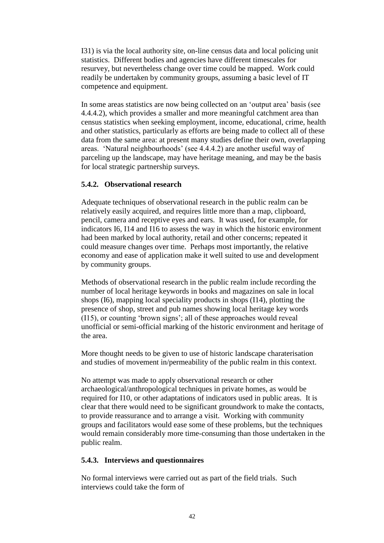I31) is via the local authority site, on-line census data and local policing unit statistics. Different bodies and agencies have different timescales for resurvey, but nevertheless change over time could be mapped. Work could readily be undertaken by community groups, assuming a basic level of IT competence and equipment.

In some areas statistics are now being collected on an'outputarea'basis(see 4.4.4.2), which provides a smaller and more meaningful catchment area than census statistics when seeking employment, income, educational, crime, health and other statistics, particularly as efforts are being made to collect all of these data from the same area: at present many studies define their own, overlapping areas. 'Natural neighbourhoods' (see 4.4.4.2) are another useful way of parceling up the landscape, may have heritage meaning, and may be the basis for local strategic partnership surveys.

## **5.4.2. Observational research**

Adequate techniques of observational research in the public realm can be relatively easily acquired, and requires little more than a map, clipboard, pencil, camera and receptive eyes and ears. It was used, for example, for indicators I6, I14 and I16 to assess the way in which the historic environment had been marked by local authority, retail and other concerns; repeated it could measure changes over time. Perhaps most importantly, the relative economy and ease of application make it well suited to use and development by community groups.

Methods of observational research in the public realm include recording the number of local heritage keywords in books and magazines on sale in local shops (I6), mapping local speciality products in shops (I14), plotting the presence of shop, street and pub names showing local heritage key words  $(115)$ , or counting 'brown signs'; all of these approaches would reveal unofficial or semi-official marking of the historic environment and heritage of the area.

More thought needs to be given to use of historic landscape charaterisation and studies of movement in/permeability of the public realm in this context.

No attempt was made to apply observational research or other archaeological/anthropological techniques in private homes, as would be required for I10, or other adaptations of indicators used in public areas. It is clear that there would need to be significant groundwork to make the contacts, to provide reassurance and to arrange a visit. Working with community groups and facilitators would ease some of these problems, but the techniques would remain considerably more time-consuming than those undertaken in the public realm.

## **5.4.3. Interviews and questionnaires**

No formal interviews were carried out as part of the field trials. Such interviews could take the form of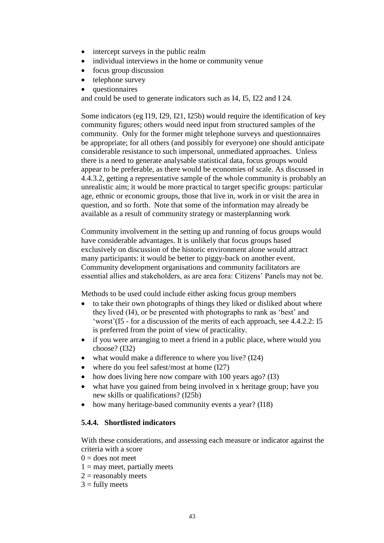- intercept surveys in the public realm
- individual interviews in the home or community venue
- focus group discussion
- telephone survey
- questionnaires

and could be used to generate indicators such as I4, I5, I22 and I 24.

Some indicators (eg I19, I29, I21, I25b) would require the identification of key community figures; others would need input from structured samples of the community. Only for the former might telephone surveys and questionnaires be appropriate; for all others (and possibly for everyone) one should anticipate considerable resistance to such impersonal, unmediated approaches. Unless there is a need to generate analysable statistical data, focus groups would appear to be preferable, as there would be economies of scale. As discussed in 4.4.3.2, getting a representative sample of the whole community is probably an unrealistic aim; it would be more practical to target specific groups: particular age, ethnic or economic groups, those that live in, work in or visit the area in question, and so forth. Note that some of the information may already be available as a result of community strategy or masterplanning work

Community involvement in the setting up and running of focus groups would have considerable advantages. It is unlikely that focus groups based exclusively on discussion of the historic environment alone would attract many participants: it would be better to piggy-back on another event. Community development organisations and community facilitators are essential allies and stakeholders, as are area fora: Citizens' Panels may not be.

Methods to be used could include either asking focus group members

- to take their own photographs of things they liked or disliked about where they lived (I4), or be presented with photographs to rank as 'best' and 'worst'(I5 - for a discussion of the merits of each approach, see 4.4.2.2: I5 is preferred from the point of view of practicality.
- if you were arranging to meet a friend in a public place, where would you choose? (I32)
- what would make a difference to where you live? (I24)
- where do you feel safest/most at home (I27)
- how does living here now compare with 100 years ago? (I3)
- what have you gained from being involved in x heritage group; have you new skills or qualifications? (I25b)
- how many heritage-based community events a year? (I18)

## **5.4.4. Shortlisted indicators**

With these considerations, and assessing each measure or indicator against the criteria with a score

- $0 =$  does not meet
- $1 =$  may meet, partially meets
- $2 =$  reasonably meets
- $3 =$  fully meets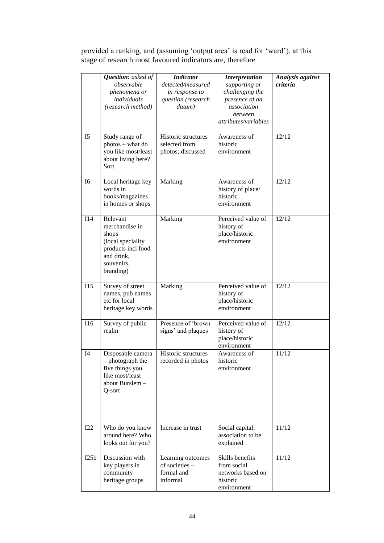|                | <b>Question:</b> asked of<br>observable<br>phenomena or<br>individuals<br>(research method)                             | <b>Indicator</b><br>detected/measured<br>in response to<br>question (research<br>datum) | <b>Interpretation</b><br>supporting or<br>challenging the<br>presence of an<br>association<br>between<br>attributes/variables | Analysis against<br>criteria |
|----------------|-------------------------------------------------------------------------------------------------------------------------|-----------------------------------------------------------------------------------------|-------------------------------------------------------------------------------------------------------------------------------|------------------------------|
| I <sub>5</sub> | Study range of<br>photos - what do<br>you like most/least<br>about living here?<br>Sort                                 | Historic structures<br>selected from<br>photos; discussed                               | Awareness of<br>historic<br>environment                                                                                       | 12/12                        |
| I6             | Local heritage key<br>words in<br>books/magazines<br>in homes or shops                                                  | Marking                                                                                 | Awareness of<br>history of place/<br>historic<br>environment                                                                  | 12/12                        |
| I14            | Relevant<br>merchandise in<br>shops<br>(local speciality<br>products incl food<br>and drink,<br>souvenirs,<br>branding) | Marking                                                                                 | Perceived value of<br>history of<br>place/historic<br>environment                                                             | 12/12                        |
| <b>I15</b>     | Survey of street<br>names, pub names<br>etc for local<br>heritage key words                                             | Marking                                                                                 | Perceived value of<br>history of<br>place/historic<br>environment                                                             | 12/12                        |
| I16            | Survey of public<br>realm                                                                                               | Presence of 'brown<br>signs' and plaques                                                | Perceived value of<br>history of<br>place/historic<br>environment                                                             | 12/12                        |
| <b>I4</b>      | Disposable camera<br>photograph the<br>five things you<br>like most/least<br>about Burslem-<br>Q-sort                   | Historic structures<br>recorded in photos                                               | Awareness of<br>historic<br>environment                                                                                       | 11/12                        |
| I22            | Who do you know<br>around here? Who<br>looks out for you?                                                               | Increase in trust                                                                       | Social capital:<br>association to be<br>explained                                                                             | 11/12                        |
| I25b           | Discussion with<br>key players in<br>community<br>heritage groups                                                       | Learning outcomes<br>of societies -<br>formal and<br>informal                           | Skills benefits<br>from social<br>networks based on<br>historic<br>environment                                                | 11/12                        |

provided a ranking, and (assuming 'output area' is read for 'ward'), at this stage of research most favoured indicators are, therefore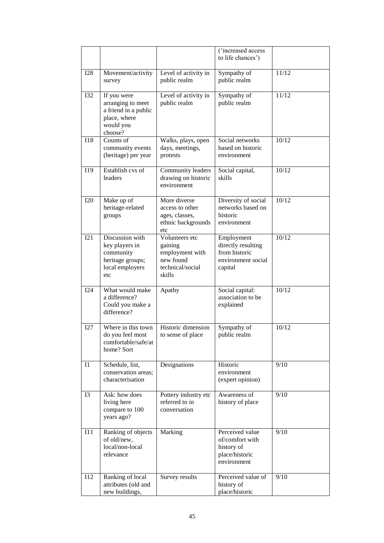|                |                                                                                                  |                                                                                         | ('increased access<br>to life chances')                                            |       |
|----------------|--------------------------------------------------------------------------------------------------|-----------------------------------------------------------------------------------------|------------------------------------------------------------------------------------|-------|
| <b>I28</b>     | Movement/activity<br>survey                                                                      | Level of activity in<br>public realm                                                    | Sympathy of<br>public realm                                                        | 11/12 |
| <b>I32</b>     | If you were<br>arranging to meet<br>a friend in a public<br>place, where<br>would you<br>choose? | Level of activity in<br>public realm                                                    | Sympathy of<br>public realm                                                        | 11/12 |
| <b>I18</b>     | Counts of<br>community events<br>(heritage) per year                                             | Walks, plays, open<br>days, meetings,<br>protests                                       | Social networks<br>based on historic<br>environment                                | 10/12 |
| I19            | Establish cvs of<br>leaders                                                                      | Community leaders<br>drawing on historic<br>environment                                 | Social capital,<br>skills                                                          | 10/12 |
| <b>I20</b>     | Make up of<br>heritage-related<br>groups                                                         | More diverse<br>access to other<br>ages, classes,<br>ethnic backgrounds<br>etc          | Diversity of social<br>networks based on<br>historic<br>environment                | 10/12 |
| I21            | Discussion with<br>key players in<br>community<br>heritage groups;<br>local employers<br>etc     | Volunteers etc<br>gaining<br>employment with<br>new found<br>technical/social<br>skills | Employment<br>directly resulting<br>from historic<br>environment social<br>capital | 10/12 |
| I24            | What would make<br>a difference?<br>Could you make a<br>difference?                              | Apathy                                                                                  | Social capital:<br>association to be<br>explained                                  | 10/12 |
| I27            | Where in this town<br>do you feel most<br>comfortable/safe/at<br>home? Sort                      | Historic dimension<br>to sense of place                                                 | Sympathy of<br>public realm                                                        | 10/12 |
| I <sub>1</sub> | Schedule, list,<br>conservation areas;<br>characterisation                                       | Designations                                                                            | Historic<br>environment<br>(expert opinion)                                        | 9/10  |
| I3             | Ask: how does<br>living here<br>compare to 100<br>years ago?                                     | Pottery industry etc<br>referred to in<br>conversation                                  | Awareness of<br>history of place                                                   | 9/10  |
| I11            | Ranking of objects<br>of old/new,<br>local/non-local<br>relevance                                | Marking                                                                                 | Perceived value<br>of/comfort with<br>history of<br>place/historic<br>environment  | 9/10  |
| I12            | Ranking of local<br>attributes (old and<br>new buildings,                                        | Survey results                                                                          | Perceived value of<br>history of<br>place/historic                                 | 9/10  |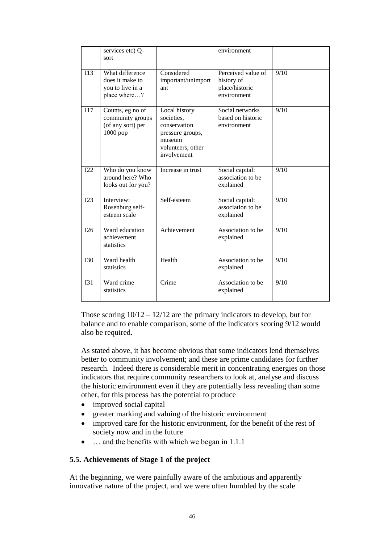|            | services etc) Q-<br>sort                                                |                                                                                                               | environment                                                       |      |
|------------|-------------------------------------------------------------------------|---------------------------------------------------------------------------------------------------------------|-------------------------------------------------------------------|------|
| I13        | What difference<br>does it make to<br>you to live in a<br>place where?  | Considered<br>important/unimport<br>ant                                                                       | Perceived value of<br>history of<br>place/historic<br>environment | 9/10 |
| I17        | Counts, eg no of<br>community groups<br>(of any sort) per<br>$1000$ pop | Local history<br>societies,<br>conservation<br>pressure groups,<br>museum<br>volunteers, other<br>involvement | Social networks<br>based on historic<br>environment               | 9/10 |
| I22        | Who do you know<br>around here? Who<br>looks out for you?               | Increase in trust                                                                                             | Social capital:<br>association to be<br>explained                 | 9/10 |
| I23        | Interview:<br>Rosenburg self-<br>esteem scale                           | Self-esteem                                                                                                   | Social capital:<br>association to be<br>explained                 | 9/10 |
| I26        | Ward education<br>achievement<br>statistics                             | Achievement                                                                                                   | Association to be<br>explained                                    | 9/10 |
| <b>I30</b> | Ward health<br>statistics                                               | Health                                                                                                        | Association to be<br>explained                                    | 9/10 |
| <b>I31</b> | Ward crime<br>statistics                                                | Crime                                                                                                         | Association to be<br>explained                                    | 9/10 |

Those scoring  $10/12 - 12/12$  are the primary indicators to develop, but for balance and to enable comparison, some of the indicators scoring 9/12 would also be required.

As stated above, it has become obvious that some indicators lend themselves better to community involvement; and these are prime candidates for further research. Indeed there is considerable merit in concentrating energies on those indicators that require community researchers to look at, analyse and discuss the historic environment even if they are potentially less revealing than some other, for this process has the potential to produce

- improved social capital
- greater marking and valuing of the historic environment
- improved care for the historic environment, for the benefit of the rest of society now and in the future
- $\bullet$  ... and the benefits with which we began in 1.1.1

## **5.5. Achievements of Stage 1 of the project**

At the beginning, we were painfully aware of the ambitious and apparently innovative nature of the project, and we were often humbled by the scale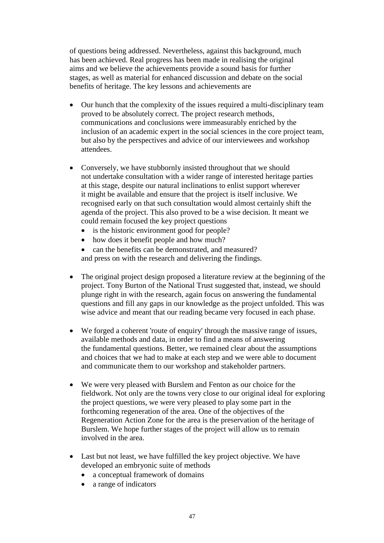of questions being addressed. Nevertheless, against this background, much has been achieved. Real progress has been made in realising the original aims and we believe the achievements provide a sound basis for further stages, as well as material for enhanced discussion and debate on the social benefits of heritage. The key lessons and achievements are

- Our hunch that the complexity of the issues required a multi-disciplinary team proved to be absolutely correct. The project research methods, communications and conclusions were immeasurably enriched by the inclusion of an academic expert in the social sciences in the core project team, but also by the perspectives and advice of our interviewees and workshop attendees.
- Conversely, we have stubbornly insisted throughout that we should not undertake consultation with a wider range of interested heritage parties at this stage, despite our natural inclinations to enlist support wherever it might be available and ensure that the project is itself inclusive. We recognised early on that such consultation would almost certainly shift the agenda of the project. This also proved to be a wise decision. It meant we could remain focused the key project questions
	- is the historic environment good for people?
	- how does it benefit people and how much?
	- can the benefits can be demonstrated, and measured?

and press on with the research and delivering the findings.

- The original project design proposed a literature review at the beginning of the project. Tony Burton of the National Trust suggested that, instead, we should plunge right in with the research, again focus on answering the fundamental questions and fill any gaps in our knowledge as the project unfolded. This was wise advice and meant that our reading became very focused in each phase.
- We forged a coherent 'route of enquiry' through the massive range of issues, available methods and data, in order to find a means of answering the fundamental questions. Better, we remained clear about the assumptions and choices that we had to make at each step and we were able to document and communicate them to our workshop and stakeholder partners.
- We were very pleased with Burslem and Fenton as our choice for the fieldwork. Not only are the towns very close to our original ideal for exploring the project questions, we were very pleased to play some part in the forthcoming regeneration of the area. One of the objectives of the Regeneration Action Zone for the area is the preservation of the heritage of Burslem. We hope further stages of the project will allow us to remain involved in the area.
- Last but not least, we have fulfilled the key project objective. We have developed an embryonic suite of methods
	- a conceptual framework of domains
	- a range of indicators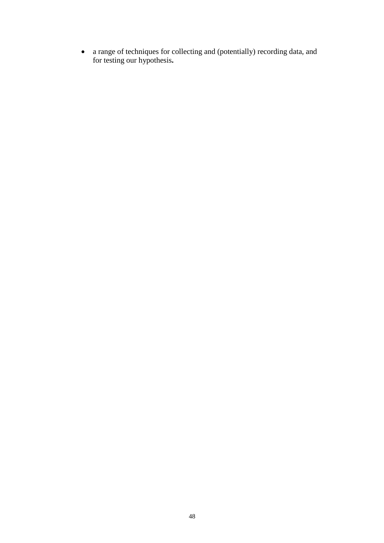a range of techniques for collecting and (potentially) recording data, and for testing our hypothesis**.**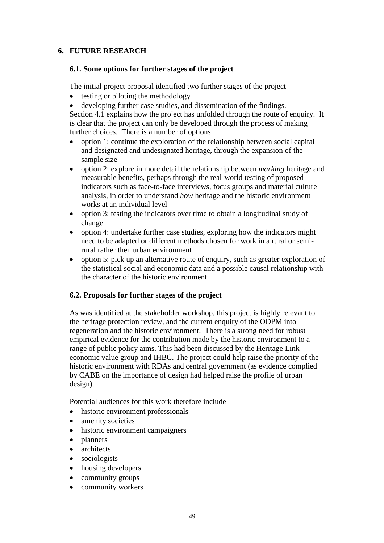# **6. FUTURE RESEARCH**

#### **6.1. Some options for further stages of the project**

The initial project proposal identified two further stages of the project

- $\bullet$  testing or piloting the methodology
- developing further case studies, and dissemination of the findings.

Section 4.1 explains how the project has unfolded through the route of enquiry. It is clear that the project can only be developed through the process of making further choices. There is a number of options

- option 1: continue the exploration of the relationship between social capital and designated and undesignated heritage, through the expansion of the sample size
- option 2: explore in more detail the relationship between *marking* heritage and measurable benefits, perhaps through the real-world testing of proposed indicators such as face-to-face interviews, focus groups and material culture analysis, in order to understand *how* heritage and the historic environment works at an individual level
- option 3: testing the indicators over time to obtain a longitudinal study of change
- option 4: undertake further case studies, exploring how the indicators might need to be adapted or different methods chosen for work in a rural or semirural rather then urban environment
- option 5: pick up an alternative route of enquiry, such as greater exploration of the statistical social and economic data and a possible causal relationship with the character of the historic environment

## **6.2. Proposals for further stages of the project**

As was identified at the stakeholder workshop, this project is highly relevant to the heritage protection review, and the current enquiry of the ODPM into regeneration and the historic environment. There is a strong need for robust empirical evidence for the contribution made by the historic environment to a range of public policy aims. This had been discussed by the Heritage Link economic value group and IHBC. The project could help raise the priority of the historic environment with RDAs and central government (as evidence complied by CABE on the importance of design had helped raise the profile of urban design).

Potential audiences for this work therefore include

- historic environment professionals
- amenity societies
- historic environment campaigners
- planners
- architects
- sociologists
- housing developers
- community groups
- community workers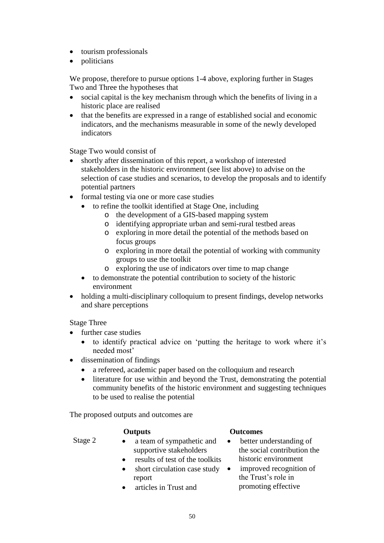- tourism professionals
- politicians

We propose, therefore to pursue options 1-4 above, exploring further in Stages Two and Three the hypotheses that

- social capital is the key mechanism through which the benefits of living in a historic place are realised
- that the benefits are expressed in a range of established social and economic indicators, and the mechanisms measurable in some of the newly developed indicators

Stage Two would consist of

- shortly after dissemination of this report, a workshop of interested stakeholders in the historic environment (see list above) to advise on the selection of case studies and scenarios, to develop the proposals and to identify potential partners
- formal testing via one or more case studies
	- to refine the toolkit identified at Stage One, including
		- o the development of a GIS-based mapping system
		- o identifying appropriate urban and semi-rural testbed areas
		- o exploring in more detail the potential of the methods based on focus groups
		- o exploring in more detail the potential of working with community groups to use the toolkit
		- o exploring the use of indicators over time to map change
	- to demonstrate the potential contribution to society of the historic environment
- holding a multi-disciplinary colloquium to present findings, develop networks and share perceptions

Stage Three

- further case studies
	- to identify practical advice on 'putting the heritage to work where it's needed most'
- dissemination of findings
	- a refereed, academic paper based on the colloquium and research
	- literature for use within and beyond the Trust, demonstrating the potential community benefits of the historic environment and suggesting techniques to be used to realise the potential

The proposed outputs and outcomes are

#### **Outputs Outcomes**

- 
- Stage 2 a team of sympathetic and supportive stakeholders
	- results of test of the toolkits
	- short circulation case study  $\bullet$ report
	- articles in Trust and
- better understanding of the social contribution the historic environment
- improved recognition of the Trust's role in promoting effective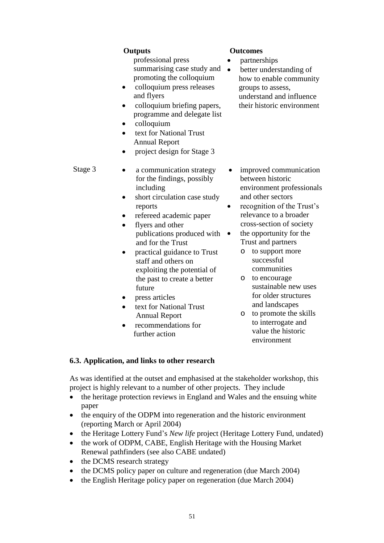# professional press summarising case study and  $\bullet$ promoting the colloquium

- colloquium press releases and flyers
- colloquium briefing papers, programme and delegate list
- colloquium
- text for National Trust Annual Report
- project design for Stage 3

- Stage  $3 \rightarrow$  a communication strategy for the findings, possibly including
	- short circulation case study reports
	- refereed academic paper
	- flyers and other publications produced with and for the Trust
	- practical guidance to Trust staff and others on exploiting the potential of the past to create a better future
	- press articles
	- text for National Trust Annual Report
	- recommendations for further action

# **Outputs Outcomes**

- partnerships
- better understanding of how to enable community groups to assess, understand and influence their historic environment

- improved communication between historic environment professionals and other sectors
- recognition of the Trust's relevance to a broader cross-section of society
	- the opportunity for the Trust and partners
		- o to support more successful communities
		- o to encourage sustainable new uses for older structures and landscapes
		- o to promote the skills to interrogate and value the historic environment

# **6.3. Application, and links to other research**

As was identified at the outset and emphasised at the stakeholder workshop, this project is highly relevant to a number of other projects. They include

- the heritage protection reviews in England and Wales and the ensuing white paper
- the enquiry of the ODPM into regeneration and the historic environment (reporting March or April 2004)
- the Heritage Lottery Fund's *New life* project (Heritage Lottery Fund, undated)
- the work of ODPM, CABE, English Heritage with the Housing Market Renewal pathfinders (see also CABE undated)
- the DCMS research strategy
- the DCMS policy paper on culture and regeneration (due March 2004)
- the English Heritage policy paper on regeneration (due March 2004)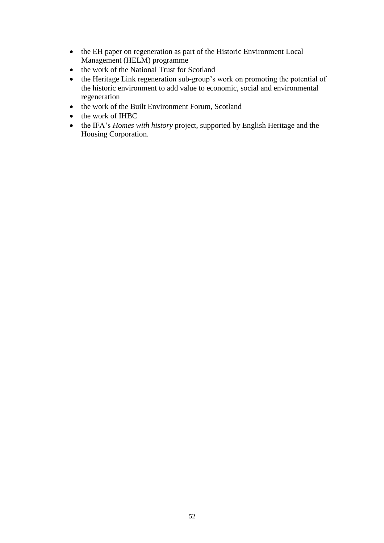- the EH paper on regeneration as part of the Historic Environment Local Management (HELM) programme
- the work of the National Trust for Scotland
- the Heritage Link regeneration sub-group's work on promoting the potential of the historic environment to add value to economic, social and environmental regeneration
- the work of the Built Environment Forum, Scotland
- the work of IHBC
- the IFA's *Homes with history* project, supported by English Heritage and the Housing Corporation.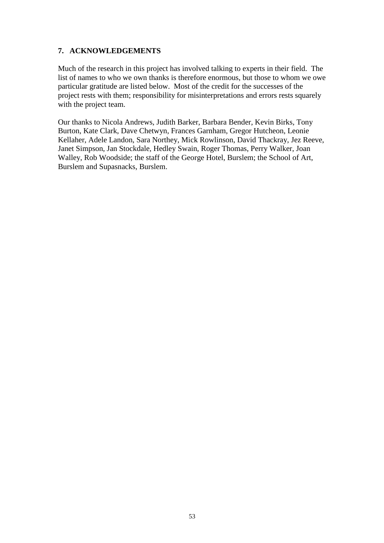# **7. ACKNOWLEDGEMENTS**

Much of the research in this project has involved talking to experts in their field. The list of names to who we own thanks is therefore enormous, but those to whom we owe particular gratitude are listed below. Most of the credit for the successes of the project rests with them; responsibility for misinterpretations and errors rests squarely with the project team.

Our thanks to Nicola Andrews, Judith Barker, Barbara Bender, Kevin Birks, Tony Burton, Kate Clark, Dave Chetwyn, Frances Garnham, Gregor Hutcheon, Leonie Kellaher, Adele Landon, Sara Northey, Mick Rowlinson, David Thackray, Jez Reeve, Janet Simpson, Jan Stockdale, Hedley Swain, Roger Thomas, Perry Walker, Joan Walley, Rob Woodside; the staff of the George Hotel, Burslem; the School of Art, Burslem and Supasnacks, Burslem.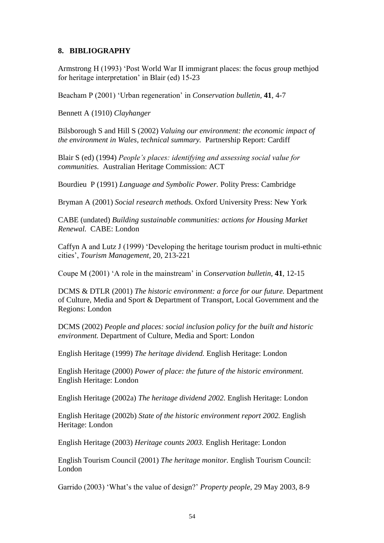#### **8. BIBLIOGRAPHY**

Armstrong H (1993) 'Post World War II immigrant places: the focus group methiod for heritage interpretation' in Blair (ed) 15-23

Beacham P (2001) 'Urban regeneration' in *Conservation bulletin*, **41**, 4-7

Bennett A (1910) *Clayhanger*

Bilsborough S and Hill S (2002) *Valuing our environment: the economic impact of the environment in Wales, technical summary.* Partnership Report: Cardiff

Blair S (ed) (1994) *People's places: identifying and assessing social value for communities.* Australian Heritage Commission: ACT

Bourdieu P (1991) *Language and Symbolic Power.* Polity Press: Cambridge

Bryman A (2001) *Social research methods.* Oxford University Press: New York

CABE (undated) *Building sustainable communities: actions for Housing Market Renewal.* CABE: London

Caffyn A and Lutz J (1999) 'Developing the heritage tourism product in multi-ethnic cities',*Tourism Management,* 20, 213-221

Coupe M (2001) 'A role in the mainstream' in *Conservation bulletin*, **41**, 12-15

DCMS & DTLR (2001) *The historic environment: a force for our future.* Department of Culture, Media and Sport & Department of Transport, Local Government and the Regions: London

DCMS (2002) *People and places: social inclusion policy for the built and historic environment.* Department of Culture, Media and Sport: London

English Heritage (1999) *The heritage dividend.* English Heritage: London

English Heritage (2000) *Power of place: the future of the historic environment.* English Heritage: London

English Heritage (2002a) *The heritage dividend 2002.* English Heritage: London

English Heritage (2002b) *State of the historic environment report 2002.* English Heritage: London

English Heritage (2003) *Heritage counts 2003.* English Heritage: London

English Tourism Council (2001) *The heritage monitor.* English Tourism Council: London

Garrido(2003)'What'sthevalueofdesign?'*Property people,* 29 May 2003, 8-9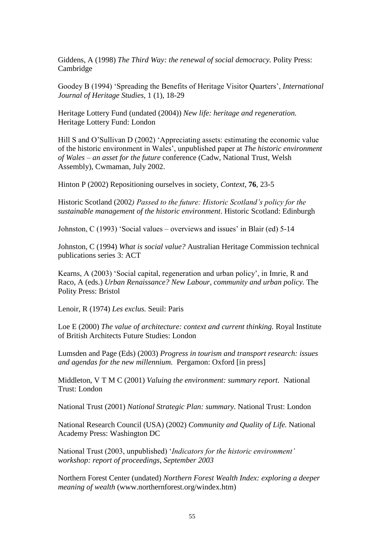Giddens, A (1998) *The Third Way: the renewal of social democracy.* Polity Press: Cambridge

Goodey B (1994) 'Spreading the Benefits of Heritage Visitor Quarters', *International Journal of Heritage Studies,* 1 (1), 18-29

Heritage Lottery Fund (undated (2004)) *New life: heritage and regeneration.* Heritage Lottery Fund: London

Hill S and O'Sullivan D (2002) 'Appreciating assets: estimating the economic value of the historic environment in Wales', unpublished paper at *The historic environment of Wales –an asset for the future* conference (Cadw, National Trust, Welsh Assembly), Cwmaman, July 2002.

Hinton P (2002) Repositioning ourselves in society, *Context*, **76**, 23-5

Historic Scotland (2002*)Passedtothefuture:HistoricScotland'spolicyforthe sustainable management of the historic environment*. Historic Scotland: Edinburgh

Johnston, C (1993) 'Social values – overviews and issues' in Blair (ed) 5-14

Johnston, C (1994) *What is social value?* Australian Heritage Commission technical publications series 3: ACT

Kearns, A (2003) 'Social capital, regeneration and urban policy', in Imrie, R and Raco, A (eds.) *Urban Renaissance? New Labour, community and urban policy.* The Polity Press: Bristol

Lenoir, R (1974) *Les exclus.* Seuil: Paris

Loe E (2000) *The value of architecture: context and current thinking.* Royal Institute of British Architects Future Studies: London

Lumsden and Page (Eds) (2003) *Progress in tourism and transport research: issues and agendas for the new millennium.* Pergamon: Oxford [in press]

Middleton, V T M C (2001) *Valuing the environment: summary report*. National Trust: London

National Trust (2001) *National Strategic Plan: summary.* National Trust: London

National Research Council (USA) (2002) *Community and Quality of Life.* National Academy Press: Washington DC

National Trust (2003, unpublished) '*Indicators for the historic environment' workshop: report of proceedings, September 2003*

Northern Forest Center (undated) *Northern Forest Wealth Index: exploring a deeper meaning of wealth* (www.northernforest.org/windex.htm)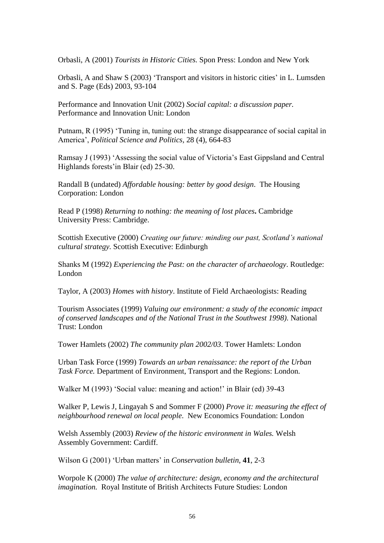Orbasli, A (2001) *Tourists in Historic Cities.* Spon Press: London and New York

Orbasli, A and Shaw S (2003) 'Transport and visitors in historic cities'in L. Lumsden and S. Page (Eds) 2003, 93-104

Performance and Innovation Unit (2002) *Social capital: a discussion paper.* Performance and Innovation Unit: London

Putnam, R (1995) 'Tuning in, tuning out: the strange disappearance of social capital in America',*Political Science and Politics,* 28 (4), 664-83

Ramsay J (1993) 'Assessing the social value of Victoria's East Gippsland and Central Highlands forests'in Blair (ed) 25-30.

Randall B (undated) *Affordable housing: better by good design*. The Housing Corporation: London

Read P (1998) *Returning to nothing: the meaning of lost places***.** Cambridge University Press: Cambridge.

Scottish Executive (2000) *Creating our future: minding our past, Scotland's national cultural strategy.* Scottish Executive: Edinburgh

Shanks M (1992) *Experiencing the Past: on the character of archaeology*. Routledge: London

Taylor, A (2003) *Homes with history*. Institute of Field Archaeologists: Reading

Tourism Associates (1999) *Valuing our environment: a study of the economic impact of conserved landscapes and of the National Trust in the Southwest 1998)*. National Trust: London

Tower Hamlets (2002) *The community plan 2002/03*. Tower Hamlets: London

Urban Task Force (1999) *Towards an urban renaissance: the report of the Urban Task Force.* Department of Environment, Transport and the Regions: London.

Walker M (1993) 'Social value: meaning and action!' in Blair (ed) 39-43

Walker P, Lewis J, Lingayah S and Sommer F (2000) *Prove it: measuring the effect of neighbourhood renewal on local people*. New Economics Foundation: London

Welsh Assembly (2003) *Review of the historic environment in Wales.* Welsh Assembly Government: Cardiff.

WilsonG(2001)'Urbanmatters'in*Conservation bulletin,* **41**, 2-3

Worpole K (2000) *The value of architecture: design, economy and the architectural imagination.* Royal Institute of British Architects Future Studies: London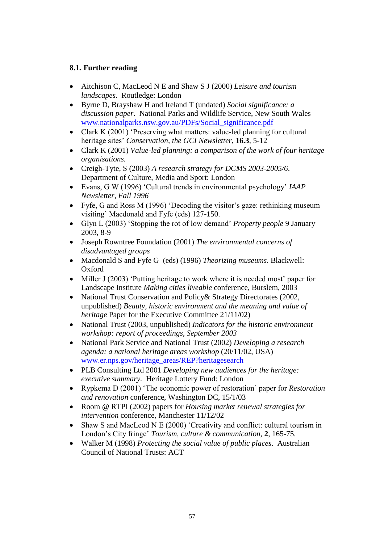# **8.1. Further reading**

- Aitchison C, MacLeod N E and Shaw S J (2000) *Leisure and tourism landscapes*. Routledge: London
- Byrne D, Brayshaw H and Ireland T (undated) *Social significance: a discussion paper*. National Parks and Wildlife Service, New South Wales www.nationalparks.nsw.gov.au/PDFs/Social\_significance.pdf
- Clark K $(2001)$  'Preserving what matters: value-led planning for cultural heritage sites' *Conservation, the GCI Newsletter*, **16.3**, 5-12
- Clark K (2001) *Value-led planning: a comparison of the work of four heritage organisations.*
- Creigh-Tyte, S (2003) *A research strategy for DCMS 2003-2005/6*. Department of Culture, Media and Sport: London
- Evans, G W (1996) 'Cultural trends in environmental psychology' *IAAP Newsletter, Fall 1996*
- Fyfe, G and Ross M (1996) 'Decoding the visitor's gaze: rethinking museum visiting' Macdonald and Fyfe (eds) 127-150.
- GlynL(2003)'Stoppingtherotoflowdemand'*Property people* 9 January 2003, 8-9
- Joseph Rowntree Foundation (2001) *The environmental concerns of disadvantaged groups*
- Macdonald S and Fyfe G (eds) (1996) *Theorizing museums*. Blackwell: Oxford
- Miller J (2003) 'Putting heritage to work where it is needed most' paper for Landscape Institute *Making cities liveable* conference, Burslem, 2003
- National Trust Conservation and Policy & Strategy Directorates (2002, unpublished) *Beauty, historic environment and the meaning and value of heritage* Paper for the Executive Committee 21/11/02)
- National Trust (2003, unpublished) *Indicators for the historic environment workshop: report of proceedings, September 2003*
- National Park Service and National Trust (2002) *Developing a research agenda: a national heritage areas workshop* (20/11/02, USA) www.er.nps.gov/heritage\_areas/REP?heritagesearch
- PLB Consulting Ltd 2001 *Developing new audiences for the heritage: executive summary.* Heritage Lottery Fund: London
- Rypkema D(2001) 'The economic power of restoration' paper for *Restoration and renovation* conference, Washington DC, 15/1/03
- Room @ RTPI (2002) papers for *Housing market renewal strategies for intervention* conference, Manchester 11/12/02
- Shaw S and MacLeod N E (2000) 'Creativity and conflict: cultural tourism in London's City fringe' *Tourism, culture & communication*, 2, 165-75.
- Walker M (1998) *Protecting the social value of public places*. Australian Council of National Trusts: ACT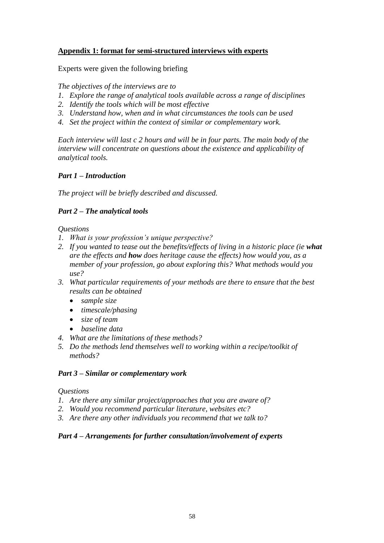# **Appendix 1: format for semi-structured interviews with experts**

Experts were given the following briefing

*The objectives of the interviews are to*

- *1. Explore the range of analytical tools available across a range of disciplines*
- *2. Identify the tools which will be most effective*
- *3. Understand how, when and in what circumstances the tools can be used*
- *4. Set the project within the context of similar or complementary work.*

*Each interview will last c 2 hours and will be in four parts. The main body of the interview will concentrate on questions about the existence and applicability of analytical tools.*

## *Part 1 –Introduction*

*The project will be briefly described and discussed.*

## *Part 2 –The analytical tools*

*Questions*

- *1. What is your profession's unique perspective?*
- *2. If you wanted to tease out the benefits/effects of living in a historic place (ie what are the effects and how does heritage cause the effects) how would you, as a member of your profession, go about exploring this? What methods would you use?*
- *3. What particular requirements of your methods are there to ensure that the best results can be obtained*
	- *sample size*
	- *timescale/phasing*
	- *size of team*
	- *baseline data*
- *4. What are the limitations of these methods?*
- *5. Do the methods lend themselves well to working within a recipe/toolkit of methods?*

#### *Part 3 –Similar or complementary work*

#### *Questions*

- *1. Are there any similar project/approaches that you are aware of?*
- *2. Would you recommend particular literature, websites etc?*
- *3. Are there any other individuals you recommend that we talk to?*

## *Part 4 –Arrangements for further consultation/involvement of experts*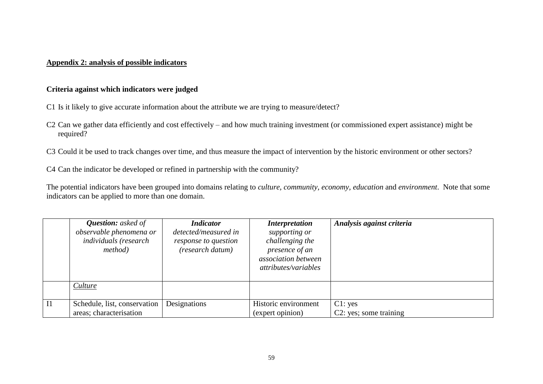#### **Appendix 2: analysis of possible indicators**

### **Criteria against which indicators were judged**

- C1 Is it likely to give accurate information about the attribute we are trying to measure/detect?
- C2 Can we gather data efficiently and cost effectively and how much training investment (or commissioned expert assistance) might be required?

C3 Could it be used to track changes over time, and thus measure the impact of intervention by the historic environment or other sectors?

C4 Can the indicator be developed or refined in partnership with the community?

The potential indicators have been grouped into domains relating to *culture, community, economy, education* and *environment*. Note that some indicators can be applied to more than one domain.

|    | <b>Question:</b> asked of<br>observable phenomena or<br><i>individuals</i> (research<br><i>method</i> ) | <b>Indicator</b><br>detected/measured in<br>response to question<br>(research datum) | <i>Interpretation</i><br>supporting or<br>challenging the<br>presence of an<br>association between<br>attributes/variables | Analysis against criteria         |
|----|---------------------------------------------------------------------------------------------------------|--------------------------------------------------------------------------------------|----------------------------------------------------------------------------------------------------------------------------|-----------------------------------|
|    | Culture                                                                                                 |                                                                                      |                                                                                                                            |                                   |
| I1 | Schedule, list, conservation<br>areas; characterisation                                                 | Designations                                                                         | Historic environment<br>(expert opinion)                                                                                   | C1: yes<br>C2: yes; some training |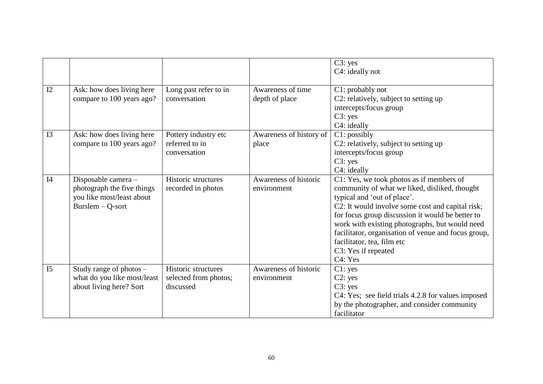|                |                                                                                                      |                                                           |                                      | C3: yes<br>C4: ideally not                                                                                                                                                                                                                                                                                                                                                                                |
|----------------|------------------------------------------------------------------------------------------------------|-----------------------------------------------------------|--------------------------------------|-----------------------------------------------------------------------------------------------------------------------------------------------------------------------------------------------------------------------------------------------------------------------------------------------------------------------------------------------------------------------------------------------------------|
| I2             | Ask: how does living here<br>compare to 100 years ago?                                               | Long past refer to in<br>conversation                     | Awareness of time<br>depth of place  | C1: probably not<br>C2: relatively, subject to setting up<br>intercepts/focus group<br>C3: yes<br>C4: ideally                                                                                                                                                                                                                                                                                             |
| I3             | Ask: how does living here<br>compare to 100 years ago?                                               | Pottery industry etc<br>referred to in<br>conversation    | Awareness of history of<br>place     | C1: possibly<br>C2: relatively, subject to setting up<br>intercepts/focus group<br>C3: yes<br>C4: ideally                                                                                                                                                                                                                                                                                                 |
| I4             | Disposable camera -<br>photograph the five things<br>you like most/least about<br>$Burslem - Q-sort$ | Historic structures<br>recorded in photos                 | Awareness of historic<br>environment | C1: Yes, we took photos as if members of<br>community of what we liked, disliked, thought<br>typical and 'out of place'.<br>C2: It would involve some cost and capital risk;<br>for focus group discussion it would be better to<br>work with existing photographs, but would need<br>facilitator, organisation of venue and focus group,<br>facilitator, tea, film etc<br>C3: Yes if repeated<br>C4: Yes |
| I <sub>5</sub> | Study range of photos $-$<br>what do you like most/least<br>about living here? Sort                  | Historic structures<br>selected from photos;<br>discussed | Awareness of historic<br>environment | C1: yes<br>C2: yes<br>C3: yes<br>C4: Yes; see field trials 4.2.8 for values imposed<br>by the photographer, and consider community<br>facilitator                                                                                                                                                                                                                                                         |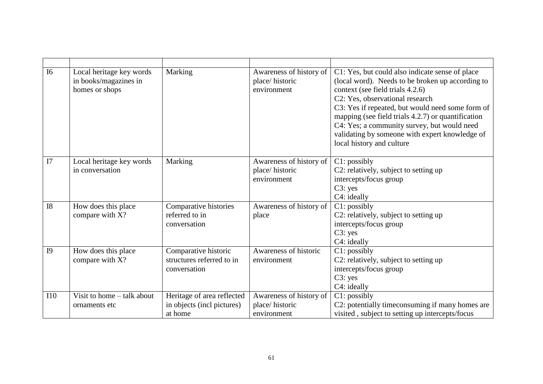| I <sub>6</sub> | Local heritage key words<br>in books/magazines in<br>homes or shops | Marking                                                             | Awareness of history of<br>place/historic<br>environment | C1: Yes, but could also indicate sense of place<br>(local word). Needs to be broken up according to<br>context (see field trials 4.2.6)<br>C2: Yes, observational research<br>C3: Yes if repeated, but would need some form of<br>mapping (see field trials 4.2.7) or quantification<br>C4: Yes; a community survey, but would need<br>validating by someone with expert knowledge of<br>local history and culture |
|----------------|---------------------------------------------------------------------|---------------------------------------------------------------------|----------------------------------------------------------|--------------------------------------------------------------------------------------------------------------------------------------------------------------------------------------------------------------------------------------------------------------------------------------------------------------------------------------------------------------------------------------------------------------------|
| I7             | Local heritage key words<br>in conversation                         | Marking                                                             | Awareness of history of<br>place/historic<br>environment | C1: possibly<br>C2: relatively, subject to setting up<br>intercepts/focus group<br>C3: yes<br>C4: ideally                                                                                                                                                                                                                                                                                                          |
| <b>I8</b>      | How does this place<br>compare with X?                              | Comparative histories<br>referred to in<br>conversation             | Awareness of history of<br>place                         | C1: possibly<br>C2: relatively, subject to setting up<br>intercepts/focus group<br>C3: yes<br>C4: ideally                                                                                                                                                                                                                                                                                                          |
| I <sub>9</sub> | How does this place<br>compare with X?                              | Comparative historic<br>structures referred to in<br>conversation   | Awareness of historic<br>environment                     | C1: possibly<br>C2: relatively, subject to setting up<br>intercepts/focus group<br>C3: yes<br>C4: ideally                                                                                                                                                                                                                                                                                                          |
| <b>I10</b>     | Visit to home – talk about<br>ornaments etc.                        | Heritage of area reflected<br>in objects (incl pictures)<br>at home | Awareness of history of<br>place/historic<br>environment | C1: possibly<br>C2: potentially timeconsuming if many homes are<br>visited, subject to setting up intercepts/focus                                                                                                                                                                                                                                                                                                 |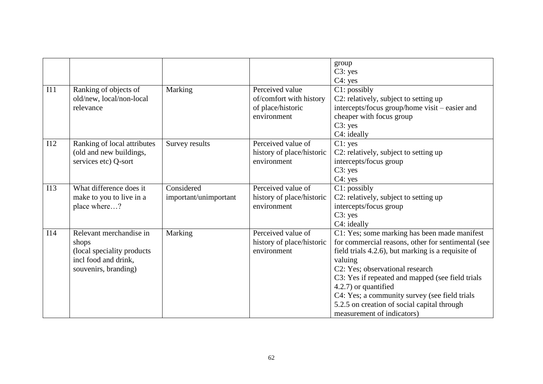|     |                                                                                                                 |                                     |                                                                                | group<br>C3: yes<br>C4: yes                                                                                                                                                                                                                                                                                                                                                                                      |
|-----|-----------------------------------------------------------------------------------------------------------------|-------------------------------------|--------------------------------------------------------------------------------|------------------------------------------------------------------------------------------------------------------------------------------------------------------------------------------------------------------------------------------------------------------------------------------------------------------------------------------------------------------------------------------------------------------|
| II1 | Ranking of objects of<br>old/new, local/non-local<br>relevance                                                  | Marking                             | Perceived value<br>of/comfort with history<br>of place/historic<br>environment | C1: possibly<br>C2: relatively, subject to setting up<br>intercepts/focus group/home visit – easier and<br>cheaper with focus group<br>C3: yes<br>C4: ideally                                                                                                                                                                                                                                                    |
| I12 | Ranking of local attributes<br>(old and new buildings,<br>services etc) Q-sort                                  | Survey results                      | Perceived value of<br>history of place/historic<br>environment                 | C1: yes<br>C2: relatively, subject to setting up<br>intercepts/focus group<br>C3: yes<br>C4: yes                                                                                                                                                                                                                                                                                                                 |
| I13 | What difference does it<br>make to you to live in a<br>place where?                                             | Considered<br>important/unimportant | Perceived value of<br>history of place/historic<br>environment                 | C1: possibly<br>C2: relatively, subject to setting up<br>intercepts/focus group<br>C3: yes<br>C4: ideally                                                                                                                                                                                                                                                                                                        |
| I14 | Relevant merchandise in<br>shops<br>(local speciality products)<br>incl food and drink,<br>souvenirs, branding) | Marking                             | Perceived value of<br>history of place/historic<br>environment                 | C1: Yes; some marking has been made manifest<br>for commercial reasons, other for sentimental (see<br>field trials 4.2.6), but marking is a requisite of<br>valuing<br>C2: Yes; observational research<br>C3: Yes if repeated and mapped (see field trials<br>4.2.7) or quantified<br>C4: Yes; a community survey (see field trials<br>5.2.5 on creation of social capital through<br>measurement of indicators) |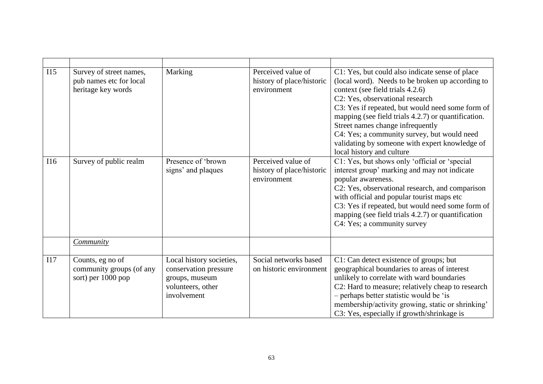| I15 | Survey of street names,<br>pub names etc for local<br>heritage key words | Marking                                                                                                 | Perceived value of<br>history of place/historic<br>environment | C1: Yes, but could also indicate sense of place<br>(local word). Needs to be broken up according to<br>context (see field trials 4.2.6)<br>C2: Yes, observational research<br>C3: Yes if repeated, but would need some form of<br>mapping (see field trials 4.2.7) or quantification.<br>Street names change infrequently<br>C4: Yes; a community survey, but would need<br>validating by someone with expert knowledge of<br>local history and culture |
|-----|--------------------------------------------------------------------------|---------------------------------------------------------------------------------------------------------|----------------------------------------------------------------|---------------------------------------------------------------------------------------------------------------------------------------------------------------------------------------------------------------------------------------------------------------------------------------------------------------------------------------------------------------------------------------------------------------------------------------------------------|
| I16 | Survey of public realm                                                   | Presence of 'brown<br>signs' and plaques                                                                | Perceived value of<br>history of place/historic<br>environment | C1: Yes, but shows only 'official or 'special<br>interest group' marking and may not indicate<br>popular awareness.<br>C2: Yes, observational research, and comparison<br>with official and popular tourist maps etc<br>C3: Yes if repeated, but would need some form of<br>mapping (see field trials 4.2.7) or quantification<br>C4: Yes; a community survey                                                                                           |
|     | Community                                                                |                                                                                                         |                                                                |                                                                                                                                                                                                                                                                                                                                                                                                                                                         |
| I17 | Counts, eg no of<br>community groups (of any<br>sort) per 1000 pop       | Local history societies,<br>conservation pressure<br>groups, museum<br>volunteers, other<br>involvement | Social networks based<br>on historic environment               | C1: Can detect existence of groups; but<br>geographical boundaries to areas of interest<br>unlikely to correlate with ward boundaries<br>C2: Hard to measure; relatively cheap to research<br>- perhaps better statistic would be 'is<br>membership/activity growing, static or shrinking'<br>C3: Yes, especially if growth/shrinkage is                                                                                                                |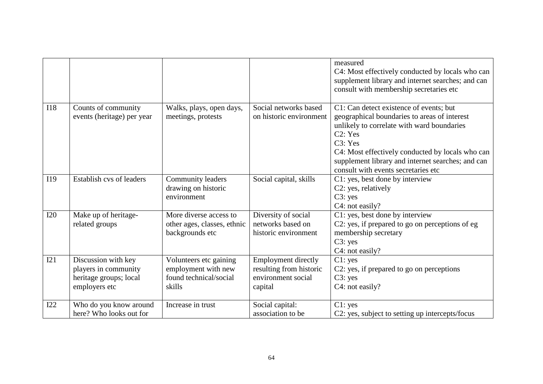|            |                                                                                        |                                                                                   |                                                                                        | measured<br>C4: Most effectively conducted by locals who can<br>supplement library and internet searches; and can<br>consult with membership secretaries etc                                                                                                                                                |
|------------|----------------------------------------------------------------------------------------|-----------------------------------------------------------------------------------|----------------------------------------------------------------------------------------|-------------------------------------------------------------------------------------------------------------------------------------------------------------------------------------------------------------------------------------------------------------------------------------------------------------|
| <b>I18</b> | Counts of community<br>events (heritage) per year                                      | Walks, plays, open days,<br>meetings, protests                                    | Social networks based<br>on historic environment                                       | C1: Can detect existence of events; but<br>geographical boundaries to areas of interest<br>unlikely to correlate with ward boundaries<br>C2: Yes<br>C3: Yes<br>C4: Most effectively conducted by locals who can<br>supplement library and internet searches; and can<br>consult with events secretaries etc |
| I19        | Establish cvs of leaders                                                               | Community leaders<br>drawing on historic<br>environment                           | Social capital, skills                                                                 | C1: yes, best done by interview<br>C2: yes, relatively<br>C3: yes<br>C4: not easily?                                                                                                                                                                                                                        |
| <b>I20</b> | Make up of heritage-<br>related groups                                                 | More diverse access to<br>other ages, classes, ethnic<br>backgrounds etc          | Diversity of social<br>networks based on<br>historic environment                       | C1: yes, best done by interview<br>C2: yes, if prepared to go on perceptions of eg<br>membership secretary<br>C3: yes<br>C4: not easily?                                                                                                                                                                    |
| I21        | Discussion with key<br>players in community<br>heritage groups; local<br>employers etc | Volunteers etc gaining<br>employment with new<br>found technical/social<br>skills | <b>Employment directly</b><br>resulting from historic<br>environment social<br>capital | C1: yes<br>C2: yes, if prepared to go on perceptions<br>C3: yes<br>C4: not easily?                                                                                                                                                                                                                          |
| I22        | Who do you know around<br>here? Who looks out for                                      | Increase in trust                                                                 | Social capital:<br>association to be                                                   | C1: yes<br>C2: yes, subject to setting up intercepts/focus                                                                                                                                                                                                                                                  |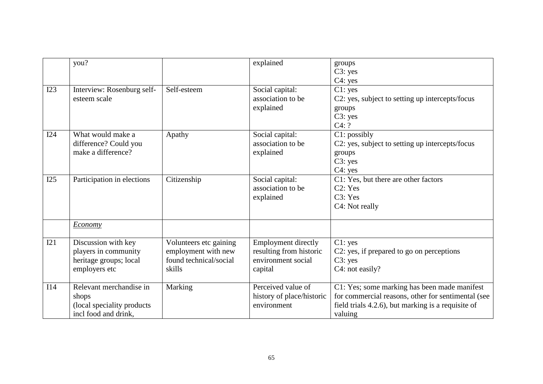|     | you?                                                                                    |                                                                                   | explained                                                                              | groups<br>C3: yes<br>C4: yes                                                                                                                                        |
|-----|-----------------------------------------------------------------------------------------|-----------------------------------------------------------------------------------|----------------------------------------------------------------------------------------|---------------------------------------------------------------------------------------------------------------------------------------------------------------------|
| I23 | Interview: Rosenburg self-<br>esteem scale                                              | Self-esteem                                                                       | Social capital:<br>association to be<br>explained                                      | C1: yes<br>C2: yes, subject to setting up intercepts/focus<br>groups<br>C3: yes<br>C4: ?                                                                            |
| I24 | What would make a<br>difference? Could you<br>make a difference?                        | Apathy                                                                            | Social capital:<br>association to be<br>explained                                      | C1: possibly<br>C2: yes, subject to setting up intercepts/focus<br>groups<br>C3: yes<br>C4: yes                                                                     |
| I25 | Participation in elections                                                              | Citizenship                                                                       | Social capital:<br>association to be<br>explained                                      | C1: Yes, but there are other factors<br>C2: Yes<br>C3: Yes<br>C4: Not really                                                                                        |
|     | <b>Economy</b>                                                                          |                                                                                   |                                                                                        |                                                                                                                                                                     |
| I21 | Discussion with key<br>players in community<br>heritage groups; local<br>employers etc  | Volunteers etc gaining<br>employment with new<br>found technical/social<br>skills | <b>Employment directly</b><br>resulting from historic<br>environment social<br>capital | C1: yes<br>C2: yes, if prepared to go on perceptions<br>C3: yes<br>C4: not easily?                                                                                  |
| I14 | Relevant merchandise in<br>shops<br>(local speciality products)<br>incl food and drink, | Marking                                                                           | Perceived value of<br>history of place/historic<br>environment                         | C1: Yes; some marking has been made manifest<br>for commercial reasons, other for sentimental (see<br>field trials 4.2.6), but marking is a requisite of<br>valuing |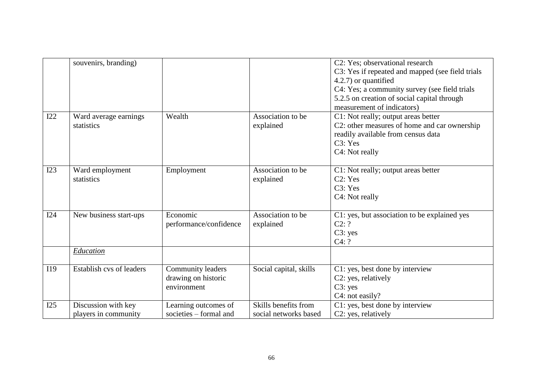|     | souvenirs, branding)                        |                                                         |                                               | C2: Yes; observational research<br>C3: Yes if repeated and mapped (see field trials<br>4.2.7) or quantified<br>C4: Yes; a community survey (see field trials<br>5.2.5 on creation of social capital through<br>measurement of indicators) |
|-----|---------------------------------------------|---------------------------------------------------------|-----------------------------------------------|-------------------------------------------------------------------------------------------------------------------------------------------------------------------------------------------------------------------------------------------|
| I22 | Ward average earnings<br>statistics         | Wealth                                                  | Association to be<br>explained                | C1: Not really; output areas better<br>C2: other measures of home and car ownership<br>readily available from census data<br>C3: Yes<br>C4: Not really                                                                                    |
| I23 | Ward employment<br>statistics               | Employment                                              | Association to be<br>explained                | C1: Not really; output areas better<br>C2: Yes<br>C3: Yes<br>C4: Not really                                                                                                                                                               |
| I24 | New business start-ups<br>Education         | Economic<br>performance/confidence                      | Association to be<br>explained                | C1: yes, but association to be explained yes<br>C2: ?<br>C3: yes<br>C4: ?                                                                                                                                                                 |
| I19 | Establish cvs of leaders                    | Community leaders<br>drawing on historic<br>environment | Social capital, skills                        | C1: yes, best done by interview<br>C2: yes, relatively<br>C3: yes<br>C4: not easily?                                                                                                                                                      |
| I25 | Discussion with key<br>players in community | Learning outcomes of<br>societies – formal and          | Skills benefits from<br>social networks based | C1: yes, best done by interview<br>C2: yes, relatively                                                                                                                                                                                    |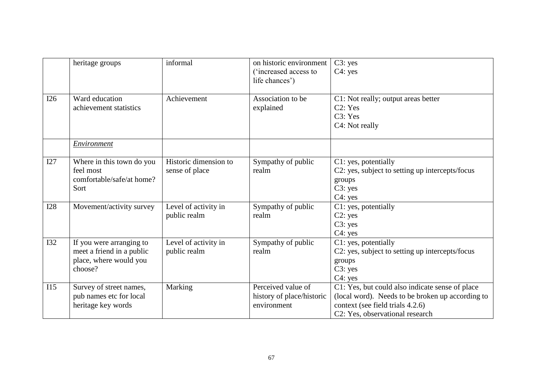|            | heritage groups                                                                            | informal                                | on historic environment<br><i>('increased access to</i> )<br>life chances') | C3: yes<br>$C4$ : yes                                                                                                                                                      |
|------------|--------------------------------------------------------------------------------------------|-----------------------------------------|-----------------------------------------------------------------------------|----------------------------------------------------------------------------------------------------------------------------------------------------------------------------|
| I26        | Ward education<br>achievement statistics                                                   | Achievement                             | Association to be<br>explained                                              | C1: Not really; output areas better<br>C2: Yes<br>C3: Yes<br>C4: Not really                                                                                                |
|            | <b>Environment</b>                                                                         |                                         |                                                                             |                                                                                                                                                                            |
| I27        | Where in this town do you<br>feel most<br>comfortable/safe/at home?<br>Sort                | Historic dimension to<br>sense of place | Sympathy of public<br>realm                                                 | C1: yes, potentially<br>C2: yes, subject to setting up intercepts/focus<br>groups<br>C3: yes<br>C4: yes                                                                    |
| <b>I28</b> | Movement/activity survey                                                                   | Level of activity in<br>public realm    | Sympathy of public<br>realm                                                 | C1: yes, potentially<br>C2: yes<br>C3: yes<br>$C4$ : yes                                                                                                                   |
| <b>I32</b> | If you were arranging to<br>meet a friend in a public<br>place, where would you<br>choose? | Level of activity in<br>public realm    | Sympathy of public<br>realm                                                 | C1: yes, potentially<br>C2: yes, subject to setting up intercepts/focus<br>groups<br>C3: yes<br>$C4$ : yes                                                                 |
| I15        | Survey of street names,<br>pub names etc for local<br>heritage key words                   | Marking                                 | Perceived value of<br>history of place/historic<br>environment              | C1: Yes, but could also indicate sense of place<br>(local word). Needs to be broken up according to<br>context (see field trials 4.2.6)<br>C2: Yes, observational research |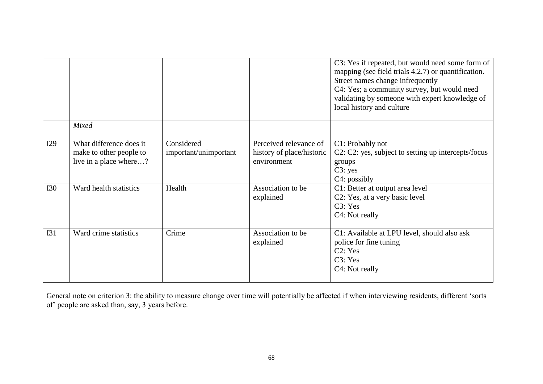|            |                                                                              |                                     |                                                                    | C3: Yes if repeated, but would need some form of<br>mapping (see field trials 4.2.7) or quantification.<br>Street names change infrequently<br>C4: Yes; a community survey, but would need<br>validating by someone with expert knowledge of<br>local history and culture |
|------------|------------------------------------------------------------------------------|-------------------------------------|--------------------------------------------------------------------|---------------------------------------------------------------------------------------------------------------------------------------------------------------------------------------------------------------------------------------------------------------------------|
|            |                                                                              |                                     |                                                                    |                                                                                                                                                                                                                                                                           |
|            | Mixed                                                                        |                                     |                                                                    |                                                                                                                                                                                                                                                                           |
| I29        | What difference does it<br>make to other people to<br>live in a place where? | Considered<br>important/unimportant | Perceived relevance of<br>history of place/historic<br>environment | C1: Probably not<br>C2: C2: yes, subject to setting up intercepts/focus<br>groups<br>C3: yes<br>C <sub>4</sub> : possibly                                                                                                                                                 |
| <b>I30</b> | Ward health statistics                                                       | Health                              | Association to be<br>explained                                     | C1: Better at output area level<br>C2: Yes, at a very basic level<br>C3: Yes<br>C <sub>4</sub> : Not really                                                                                                                                                               |
| I31        | Ward crime statistics                                                        | Crime                               | Association to be<br>explained                                     | C1: Available at LPU level, should also ask<br>police for fine tuning<br>C2: Yes<br>C3: Yes<br>C <sub>4</sub> : Not really                                                                                                                                                |

General note on criterion 3: the ability to measure change over time will potentially be affected if when interviewing residents, different 'sorts of people are asked than, say, 3 years before.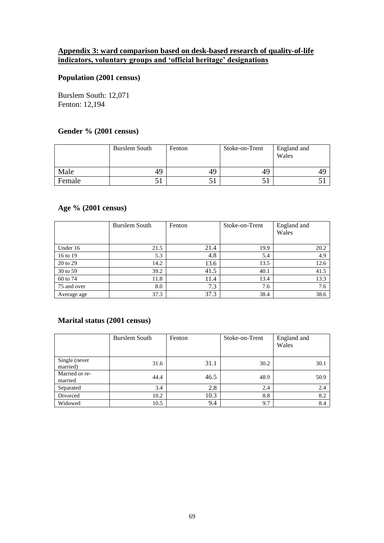# **Appendix 3: ward comparison based on desk-based research of quality-of-life indicators, voluntary groups and 'official heritage' designations**

# **Population (2001 census)**

Burslem South: 12,071 Fenton: 12,194

#### **Gender % (2001 census)**

|        | Burslem South | Fenton | Stoke-on-Trent | England and<br>Wales |
|--------|---------------|--------|----------------|----------------------|
| Male   | 49            | 49     | 49             |                      |
| Female | ◡▴            | .      |                |                      |

# **Age % (2001 census)**

|             | Burslem South | Fenton | Stoke-on-Trent | England and |
|-------------|---------------|--------|----------------|-------------|
|             |               |        |                | Wales       |
|             |               |        |                |             |
| Under 16    | 21.5          | 21.4   | 19.9           | 20.2        |
| 16 to 19    | 5.3           | 4.8    | 5.4            | 4.9         |
| 20 to 29    | 14.2          | 13.6   | 13.5           | 12.6        |
| 30 to 59    | 39.2          | 41.5   | 40.1           | 41.5        |
| 60 to 74    | 11.8          | 11.4   | 13.4           | 13.3        |
| 75 and over | 8.0           | 7.3    | 7.6            | 7.6         |
| Average age | 37.3          | 37.3   | 38.4           | 38.6        |

#### **Marital status (2001 census)**

|                           | Burslem South | Fenton | Stoke-on-Trent | England and<br>Wales |
|---------------------------|---------------|--------|----------------|----------------------|
| Single (never<br>married) | 31.6          | 31.1   | 30.2           | 30.1                 |
| Married or re-<br>married | 44.4          | 46.5   | 48.9           | 50.9                 |
| Separated                 | 3.4           | 2.8    | 2.4            | 2.4                  |
| Divorced                  | 10.2          | 10.3   | 8.8            | 8.2                  |
| Widowed                   | 10.5          | 9.4    | 9.7            | 8.4                  |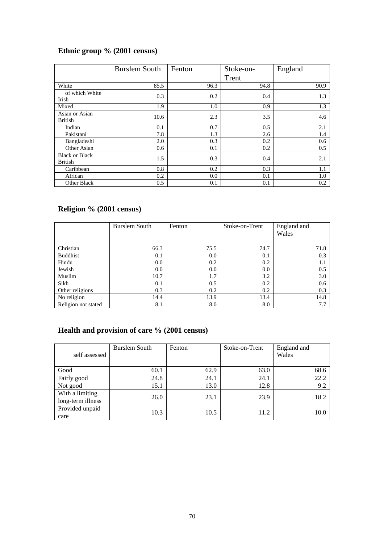# **Ethnic group % (2001 census)**

|                                         | <b>Burslem South</b> | Fenton | Stoke-on- | England |
|-----------------------------------------|----------------------|--------|-----------|---------|
|                                         |                      |        | Trent     |         |
| White                                   | 85.5                 | 96.3   | 94.8      | 90.9    |
| of which White<br>Irish                 | 0.3                  | 0.2    | 0.4       | 1.3     |
| Mixed                                   | 1.9                  | 1.0    | 0.9       | 1.3     |
| Asian or Asian<br><b>British</b>        | 10.6                 | 2.3    | 3.5       | 4.6     |
| Indian                                  | 0.1                  | 0.7    | 0.5       | 2.1     |
| Pakistani                               | 7.8                  | 1.3    | 2.6       | 1.4     |
| Bangladeshi                             | 2.0                  | 0.3    | 0.2       | 0.6     |
| Other Asian                             | 0.6                  | 0.1    | 0.2       | 0.5     |
| <b>Black or Black</b><br><b>British</b> | 1.5                  | 0.3    | 0.4       | 2.1     |
| Caribbean                               | 0.8                  | 0.2    | 0.3       | 1.1     |
| African                                 | 0.2                  | 0.0    | 0.1       | 1.0     |
| Other Black                             | 0.5                  | 0.1    | 0.1       | 0.2     |

# **Religion % (2001 census)**

|                     | Burslem South | Fenton | Stoke-on-Trent | England and<br>Wales |
|---------------------|---------------|--------|----------------|----------------------|
| Christian           | 66.3          | 75.5   | 74.7           | 71.8                 |
| <b>Buddhist</b>     | 0.1           | 0.0    | 0.1            | 0.3                  |
| Hindu               | 0.0           | 0.2    | 0.2            | 1.1                  |
| Jewish              | 0.0           | 0.0    | 0.0            | 0.5                  |
| Muslim              | 10.7          | 1.7    | 3.2            | 3.0                  |
| Sikh                | 0.1           | 0.5    | 0.2            | 0.6                  |
| Other religions     | 0.3           | 0.2    | 0.2            | 0.3                  |
| No religion         | 14.4          | 13.9   | 13.4           | 14.8                 |
| Religion not stated | 8.1           | 8.0    | 8.0            | 7.7                  |

# **Health and provision of care % (2001 census)**

| self assessed                        | Burslem South | Fenton | Stoke-on-Trent | England and<br>Wales |
|--------------------------------------|---------------|--------|----------------|----------------------|
| Good                                 | 60.1          | 62.9   | 63.0           | 68.6                 |
| Fairly good                          | 24.8          | 24.1   | 24.1           | 22.2                 |
| Not good                             | 15.1          | 13.0   | 12.8           | 9.2                  |
| With a limiting<br>long-term illness | 26.0          | 23.1   | 23.9           | 18.2                 |
| Provided unpaid<br>care              | 10.3          | 10.5   | 11.2           | 10.0                 |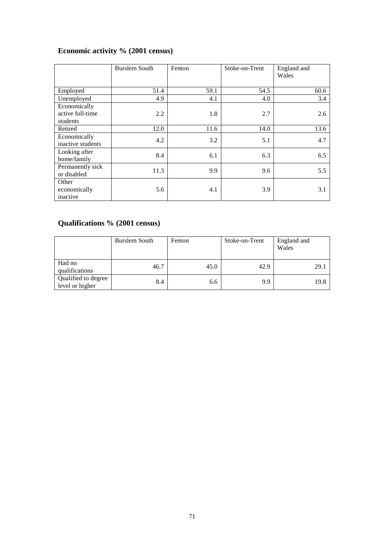# **Economic activity % (2001 census)**

|                   | <b>Burslem South</b> | Fenton | Stoke-on-Trent | England and<br>Wales |
|-------------------|----------------------|--------|----------------|----------------------|
|                   |                      |        |                |                      |
| Employed          | 51.4                 | 59.1   | 54.5           | 60.6                 |
| Unemployed        | 4.9                  | 4.1    | 4.0            | 3.4                  |
| Economically      |                      |        |                |                      |
| active full-time  | 2.2                  | 1.8    | 2.7            | 2.6                  |
| students          |                      |        |                |                      |
| Retired           | 12.0                 | 11.6   | 14.0           | 13.6                 |
| Economically      | 4.2                  | 3.2    | 5.1            | 4.7                  |
| inactive students |                      |        |                |                      |
| Looking after     | 8.4                  | 6.1    | 6.3            | 6.5                  |
| home/family       |                      |        |                |                      |
| Permanently sick  | 11.3                 | 9.9    | 9.6            | 5.5                  |
| or disabled       |                      |        |                |                      |
| Other             |                      |        |                |                      |
| economically      | 5.6                  | 4.1    | 3.9            | 3.1                  |
| inactive          |                      |        |                |                      |

# **Qualifications % (2001 census)**

|                                        | Burslem South | Fenton | Stoke-on-Trent | England and<br>Wales |
|----------------------------------------|---------------|--------|----------------|----------------------|
| Had no<br>qualifications               | 46.7          | 45.0   | 42.9           | 29.1                 |
| Qualified to degree<br>level or higher | 8.4           | 6.6    | 9.9            | 19.8                 |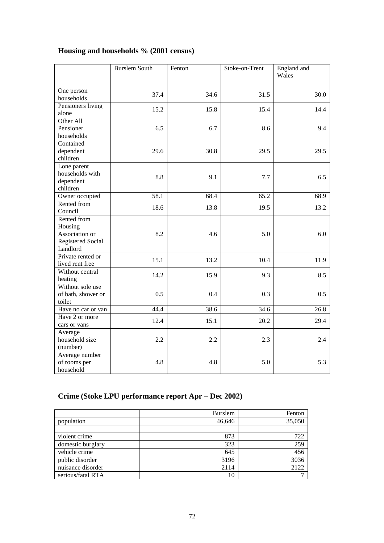# **Housing and households % (2001 census)**

|                                                                           | <b>Burslem South</b> | Fenton | Stoke-on-Trent | England and<br>Wales |
|---------------------------------------------------------------------------|----------------------|--------|----------------|----------------------|
| One person<br>households                                                  | 37.4                 | 34.6   | 31.5           | 30.0                 |
| Pensioners living<br>alone                                                | 15.2                 | 15.8   | 15.4           | 14.4                 |
| Other All<br>Pensioner<br>households                                      | 6.5                  | 6.7    | 8.6            | 9.4                  |
| Contained<br>dependent<br>children                                        | 29.6                 | 30.8   | 29.5           | 29.5                 |
| Lone parent<br>households with<br>dependent<br>children                   | 8.8                  | 9.1    | 7.7            | 6.5                  |
| Owner occupied                                                            | $\overline{58.1}$    | 68.4   | 65.2           | 68.9                 |
| Rented from<br>Council                                                    | 18.6                 | 13.8   | 19.5           | 13.2                 |
| Rented from<br>Housing<br>Association or<br>Registered Social<br>Landlord | 8.2                  | 4.6    | 5.0            | 6.0                  |
| Private rented or<br>lived rent free                                      | 15.1                 | 13.2   | 10.4           | 11.9                 |
| Without central<br>heating                                                | 14.2                 | 15.9   | 9.3            | 8.5                  |
| Without sole use<br>of bath, shower or<br>toilet                          | 0.5                  | 0.4    | 0.3            | 0.5                  |
| Have no car or van                                                        | 44.4                 | 38.6   | 34.6           | 26.8                 |
| Have 2 or more<br>cars or vans                                            | 12.4                 | 15.1   | 20.2           | 29.4                 |
| Average<br>household size<br>(number)                                     | 2.2                  | 2.2    | 2.3            | 2.4                  |
| Average number<br>of rooms per<br>household                               | 4.8                  | 4.8    | 5.0            | 5.3                  |

# **Crime (Stoke LPU performance report Apr –Dec 2002)**

|                   | <b>Burslem</b> | Fenton |
|-------------------|----------------|--------|
| population        | 46,646         | 35,050 |
|                   |                |        |
| violent crime     | 873            | 722    |
| domestic burglary | 323            | 259    |
| vehicle crime     | 645            | 456    |
| public disorder   | 3196           | 3036   |
| nuisance disorder | 2114           | 2122   |
| serious/fatal RTA | 10             | ⇁      |